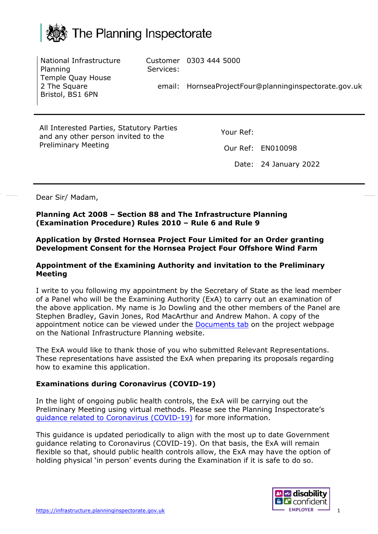

|                                                                                  | National Infrastructure<br>Planning<br>Temple Quay House | Services: | Customer 0303 444 5000 |                                                       |
|----------------------------------------------------------------------------------|----------------------------------------------------------|-----------|------------------------|-------------------------------------------------------|
|                                                                                  | 2 The Square<br>Bristol, BS1 6PN                         |           |                        | email: HornseaProjectFour@planninginspectorate.gov.uk |
|                                                                                  |                                                          |           |                        |                                                       |
| All Interested Parties, Statutory Parties<br>and any other person invited to the |                                                          | Your Ref: |                        |                                                       |
|                                                                                  | <b>Preliminary Meeting</b>                               |           |                        | Our Ref: EN010098                                     |
|                                                                                  |                                                          |           |                        | Date: 24 January 2022                                 |
|                                                                                  |                                                          |           |                        |                                                       |

Dear Sir/ Madam,

**Planning Act 2008 – Section 88 and The Infrastructure Planning (Examination Procedure) Rules 2010 – Rule 6 and Rule 9**

**Application by Ørsted Hornsea Project Four Limited for an Order granting Development Consent for the Hornsea Project Four Offshore Wind Farm**

#### **Appointment of the Examining Authority and invitation to the Preliminary Meeting**

I write to you following my appointment by the Secretary of State as the lead member of a Panel who will be the Examining Authority (ExA) to carry out an examination of the above application. My name is Jo Dowling and the other members of the Panel are Stephen Bradley, Gavin Jones, Rod MacArthur and Andrew Mahon. A copy of the appointment notice can be viewed under the [Documents tab](https://infrastructure.planninginspectorate.gov.uk/wp-content/ipc/uploads/projects/EN010098/EN010098-000856-Hornsea%204%20Rule%204%20Appointment%20of%20ExA.pdf) on the project webpage on the National Infrastructure Planning website.

The ExA would like to thank those of you who submitted Relevant Representations. These representations have assisted the ExA when preparing its proposals regarding how to examine this application.

#### **Examinations during Coronavirus (COVID-19)**

In the light of ongoing public health controls, the ExA will be carrying out the Preliminary Meeting using virtual methods. Please see the Planning Inspectorate's guidance [related to Coronavirus \(COVID-19\)](https://www.gov.uk/guidance/coronavirus-covid-19-planning-inspectorate-guidance) for more information.

This guidance is updated periodically to align with the most up to date Government guidance relating to Coronavirus (COVID-19). On that basis, the ExA will remain flexible so that, should public health controls allow, the ExA may have the option of holding physical 'in person' events during the Examination if it is safe to do so.

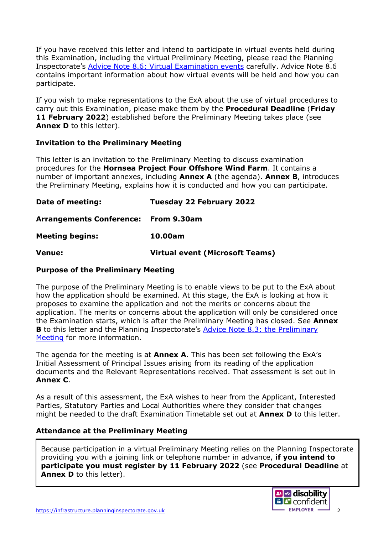If you have received this letter and intend to participate in virtual events held during this Examination, including the virtual Preliminary Meeting, please read the Planning Inspectorate's [Advice Note 8.6: Virtual Examination events](https://infrastructure.planninginspectorate.gov.uk/legislation-and-advice/advice-notes/advice-note-8-6-virtual-examination-events/) carefully. Advice Note 8.6 contains important information about how virtual events will be held and how you can participate.

If you wish to make representations to the ExA about the use of virtual procedures to carry out this Examination, please make them by the **Procedural Deadline** (**Friday 11 February 2022**) established before the Preliminary Meeting takes place (see **Annex D** to this letter).

# **Invitation to the Preliminary Meeting**

This letter is an invitation to the Preliminary Meeting to discuss examination procedures for the **Hornsea Project Four Offshore Wind Farm**. It contains a number of important annexes, including **Annex A** (the agenda). **Annex B**, introduces the Preliminary Meeting, explains how it is conducted and how you can participate.

| Date of meeting:                     | Tuesday 22 February 2022               |
|--------------------------------------|----------------------------------------|
| Arrangements Conference: From 9.30am |                                        |
| <b>Meeting begins:</b>               | 10.00am                                |
| <b>Venue:</b>                        | <b>Virtual event (Microsoft Teams)</b> |

#### **Purpose of the Preliminary Meeting**

The purpose of the Preliminary Meeting is to enable views to be put to the ExA about how the application should be examined. At this stage, the ExA is looking at how it proposes to examine the application and not the merits or concerns about the application. The merits or concerns about the application will only be considered once the Examination starts, which is after the Preliminary Meeting has closed. See **Annex B** to this letter and the Planning Inspectorate's [Advice Note 8.3: the](https://infrastructure.planninginspectorate.gov.uk/legislation-and-advice/advice-notes/advice-note-8-3-influencing-how-an-application-is-examined-the-preliminary-meeting/) Preliminary [Meeting](https://infrastructure.planninginspectorate.gov.uk/legislation-and-advice/advice-notes/advice-note-8-3-influencing-how-an-application-is-examined-the-preliminary-meeting/) for more information.

The agenda for the meeting is at **Annex A**. This has been set following the ExA's Initial Assessment of Principal Issues arising from its reading of the application documents and the Relevant Representations received. That assessment is set out in **Annex C**.

As a result of this assessment, the ExA wishes to hear from the Applicant, Interested Parties, Statutory Parties and Local Authorities where they consider that changes might be needed to the draft Examination Timetable set out at **Annex D** to this letter.

#### **Attendance at the Preliminary Meeting**

Because participation in a virtual Preliminary Meeting relies on the Planning Inspectorate providing you with a joining link or telephone number in advance, **if you intend to participate you must register by 11 February 2022** (see **Procedural Deadline** at Annex D to this letter).

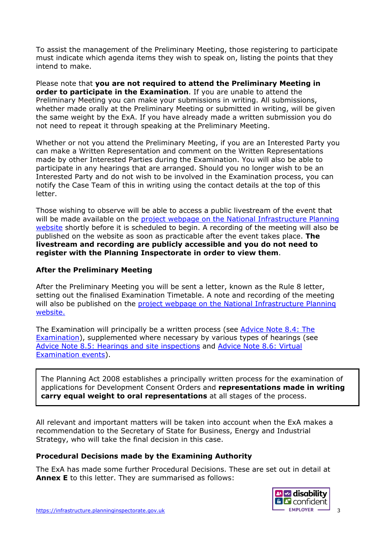To assist the management of the Preliminary Meeting, those registering to participate must indicate which agenda items they wish to speak on, listing the points that they intend to make.

Please note that **you are not required to attend the Preliminary Meeting in order to participate in the Examination**. If you are unable to attend the Preliminary Meeting you can make your submissions in writing. All submissions, whether made orally at the Preliminary Meeting or submitted in writing, will be given the same weight by the ExA. If you have already made a written submission you do not need to repeat it through speaking at the Preliminary Meeting.

Whether or not you attend the Preliminary Meeting, if you are an Interested Party you can make a Written Representation and comment on the Written Representations made by other Interested Parties during the Examination. You will also be able to participate in any hearings that are arranged. Should you no longer wish to be an Interested Party and do not wish to be involved in the Examination process, you can notify the Case Team of this in writing using the contact details at the top of this letter.

Those wishing to observe will be able to access a public livestream of the event that will be made available on the [project webpage on the National Infrastructure Planning](https://infrastructure.planninginspectorate.gov.uk/projects/yorkshire-and-the-humber/hornsea-project-four-offshore-wind-farm/)  [website](https://infrastructure.planninginspectorate.gov.uk/projects/yorkshire-and-the-humber/hornsea-project-four-offshore-wind-farm/) shortly before it is scheduled to begin. A recording of the meeting will also be published on the website as soon as practicable after the event takes place. **The livestream and recording are publicly accessible and you do not need to register with the Planning Inspectorate in order to view them**.

# **After the Preliminary Meeting**

After the Preliminary Meeting you will be sent a letter, known as the Rule 8 letter, setting out the finalised Examination Timetable. A note and recording of the meeting will also be published on the project webpage on [the National Infrastructure Planning](https://infrastructure.planninginspectorate.gov.uk/projects/yorkshire-and-the-humber/hornsea-project-four-offshore-wind-farm/) [website.](https://infrastructure.planninginspectorate.gov.uk/projects/yorkshire-and-the-humber/hornsea-project-four-offshore-wind-farm/)

The Examination will principally be a written process (see Advice Note 8.4: The [Examination\)](https://infrastructure.planninginspectorate.gov.uk/legislation-and-advice/advice-notes/advice-note-8-4-the-examination/), supplemented where necessary by various types of hearings (see Advice Note 8.5: [Hearings and site inspections](https://infrastructure.planninginspectorate.gov.uk/legislation-and-advice/advice-notes/advice-note-8-5-the-examination-hearings-and-site-inspections/) and [Advice Note 8.6: Virtual](https://infrastructure.planninginspectorate.gov.uk/legislation-and-advice/advice-notes/advice-note-8-6-virtual-examination-events/)  [Examination events\)](https://infrastructure.planninginspectorate.gov.uk/legislation-and-advice/advice-notes/advice-note-8-6-virtual-examination-events/).

The Planning Act 2008 establishes a principally written process for the examination of applications for Development Consent Orders and **representations made in writing carry equal weight to oral representations** at all stages of the process.

All relevant and important matters will be taken into account when the ExA makes a recommendation to the Secretary of State for Business, Energy and Industrial Strategy, who will take the final decision in this case.

#### **Procedural Decisions made by the Examining Authority**

The ExA has made some further Procedural Decisions. These are set out in detail at **Annex E** to this letter. They are summarised as follows:

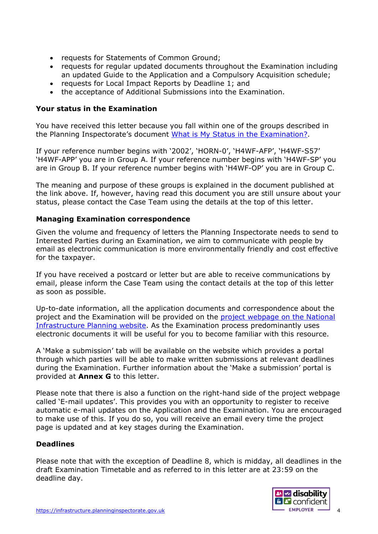- requests for Statements of Common Ground;
- requests for regular updated documents throughout the Examination including an updated Guide to the Application and a Compulsory Acquisition schedule;
- requests for Local Impact Reports by Deadline 1; and
- the acceptance of Additional Submissions into the Examination.

#### **Your status in the Examination**

You have received this letter because you fall within one of the groups described in the Planning Inspectorate's document [What is My Status in the Examination?.](https://infrastructure.planninginspectorate.gov.uk/application-process/frequently-asked-questions/status-in-examination-faq/)

If your reference number begins with '2002', 'HORN-0', 'H4WF-AFP', 'H4WF-S57' 'H4WF-APP' you are in Group A. If your reference number begins with 'H4WF-SP' you are in Group B. If your reference number begins with 'H4WF-OP' you are in Group C.

The meaning and purpose of these groups is explained in the document published at the link above. If, however, having read this document you are still unsure about your status, please contact the Case Team using the details at the top of this letter.

# **Managing Examination correspondence**

Given the volume and frequency of letters the Planning Inspectorate needs to send to Interested Parties during an Examination, we aim to communicate with people by email as electronic communication is more environmentally friendly and cost effective for the taxpayer.

If you have received a postcard or letter but are able to receive communications by email, please inform the Case Team using the contact details at the top of this letter as soon as possible.

Up-to-date information, all the application documents and correspondence about the project and the Examination will be provided on the [project webpage on the National](https://infrastructure.planninginspectorate.gov.uk/projects/yorkshire-and-the-humber/hornsea-project-four-offshore-wind-farm/)  [Infrastructure Planning website.](https://infrastructure.planninginspectorate.gov.uk/projects/yorkshire-and-the-humber/hornsea-project-four-offshore-wind-farm/) As the Examination process predominantly uses electronic documents it will be useful for you to become familiar with this resource.

A 'Make a submission' tab will be available on the website which provides a portal through which parties will be able to make written submissions at relevant deadlines during the Examination. Further information about the 'Make a submission' portal is provided at **Annex G** to this letter.

Please note that there is also a function on the right-hand side of the project webpage called 'E-mail updates'. This provides you with an opportunity to register to receive automatic e-mail updates on the Application and the Examination. You are encouraged to make use of this. If you do so, you will receive an email every time the project page is updated and at key stages during the Examination.

#### **Deadlines**

Please note that with the exception of Deadline 8, which is midday, all deadlines in the draft Examination Timetable and as referred to in this letter are at 23:59 on the deadline day.

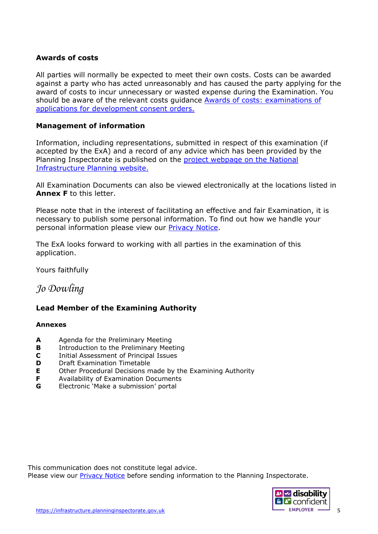#### **Awards of costs**

All parties will normally be expected to meet their own costs. Costs can be awarded against a party who has acted unreasonably and has caused the party applying for the award of costs to incur unnecessary or wasted expense during the Examination. You should be aware of the relevant costs guidance **Awards of costs: examinations of** [applications for development consent orders.](https://gbr01.safelinks.protection.outlook.com/?url=https%3A%2F%2Fwww.gov.uk%2Fgovernment%2Fpublications%2Fawards-of-costs-examinations-of-applications-for-development-consent-orders&data=04%7C01%7CRICHARD.PRICE%40planninginspectorate.gov.uk%7Cfc81c4c6bbd04358bc2008d9aa79c1c8%7C5878df986f8848ab9322998ce557088d%7C0%7C0%7C637728262186167163%7CUnknown%7CTWFpbGZsb3d8eyJWIjoiMC4wLjAwMDAiLCJQIjoiV2luMzIiLCJBTiI6Ik1haWwiLCJXVCI6Mn0%3D%7C3000&sdata=yOCuwuV1FTrlNy%2BJ7MbNqMdnXdFQxYAQLvAiMWMK32o%3D&reserved=0)

#### **Management of information**

Information, including representations, submitted in respect of this examination (if accepted by the ExA) and a record of any advice which has been provided by the Planning Inspectorate is published on the project [webpage on the National](https://infrastructure.planninginspectorate.gov.uk/projects/yorkshire-and-the-humber/hornsea-project-four-offshore-wind-farm/)  [Infrastructure Planning website.](https://infrastructure.planninginspectorate.gov.uk/projects/yorkshire-and-the-humber/hornsea-project-four-offshore-wind-farm/)

All Examination Documents can also be viewed electronically at the locations listed in **Annex F** to this letter.

Please note that in the interest of facilitating an effective and fair Examination, it is necessary to publish some personal information. To find out how we handle your personal information please view our [Privacy Notice.](https://www.gov.uk/government/publications/planning-inspectorate-privacy-notices/customer-privacy-notice)

The ExA looks forward to working with all parties in the examination of this application.

Yours faithfully

# *Jo Dowling*

#### **Lead Member of the Examining Authority**

#### **Annexes**

- **A** Agenda for the Preliminary Meeting
- **B** Introduction to the Preliminary Meeting
- **C** Initial Assessment of Principal Issues
- **D** Draft Examination Timetable
- **E** Other Procedural Decisions made by the Examining Authority<br>**F** Availability of Examination Documents
- **F** Availability of Examination Documents<br>**G** Electronic Make a submission' portal
- **G** Electronic 'Make a submission' portal

This communication does not constitute legal advice. Please view our [Privacy Notice](https://www.gov.uk/government/publications/planning-inspectorate-privacy-notices/customer-privacy-notice) before sending information to the Planning Inspectorate.

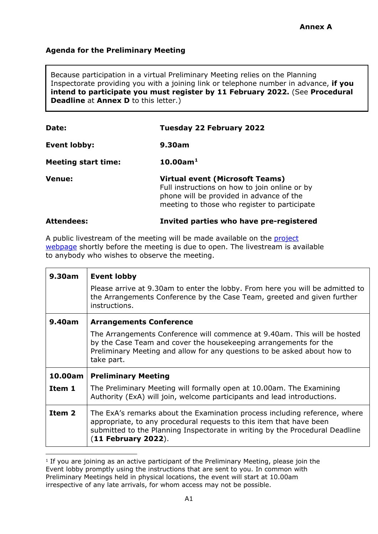# **Agenda for the Preliminary Meeting**

Because participation in a virtual Preliminary Meeting relies on the Planning Inspectorate providing you with a joining link or telephone number in advance, **if you intend to participate you must register by 11 February 2022.** (See **Procedural Deadline** at **Annex D** to this letter.)

| Date:                      | <b>Tuesday 22 February 2022</b>                                                                                                                                                     |  |
|----------------------------|-------------------------------------------------------------------------------------------------------------------------------------------------------------------------------------|--|
| <b>Event lobby:</b>        | 9.30am                                                                                                                                                                              |  |
| <b>Meeting start time:</b> | $10.00$ am <sup>1</sup>                                                                                                                                                             |  |
| <b>Venue:</b>              | <b>Virtual event (Microsoft Teams)</b><br>Full instructions on how to join online or by<br>phone will be provided in advance of the<br>meeting to those who register to participate |  |
| <b>Attendees:</b>          | Invited parties who have pre-registered                                                                                                                                             |  |

A public livestream of the meeting will be made available on the [project](https://infrastructure.planninginspectorate.gov.uk/projects/yorkshire-and-the-humber/hornsea-project-four-offshore-wind-farm/) [webpage](https://infrastructure.planninginspectorate.gov.uk/projects/yorkshire-and-the-humber/hornsea-project-four-offshore-wind-farm/) shortly before the meeting is due to open. The livestream is available to anybody who wishes to observe the meeting.

| 9.30am                                                                                                                                                                    | <b>Event lobby</b>                                                                                                                                                                                                                                         |
|---------------------------------------------------------------------------------------------------------------------------------------------------------------------------|------------------------------------------------------------------------------------------------------------------------------------------------------------------------------------------------------------------------------------------------------------|
| Please arrive at 9.30am to enter the lobby. From here you will be admitted to<br>the Arrangements Conference by the Case Team, greeted and given further<br>instructions. |                                                                                                                                                                                                                                                            |
| 9.40am                                                                                                                                                                    | <b>Arrangements Conference</b>                                                                                                                                                                                                                             |
|                                                                                                                                                                           | The Arrangements Conference will commence at 9.40am. This will be hosted<br>by the Case Team and cover the housekeeping arrangements for the<br>Preliminary Meeting and allow for any questions to be asked about how to<br>take part.                     |
| 10.00am<br><b>Preliminary Meeting</b>                                                                                                                                     |                                                                                                                                                                                                                                                            |
| Item 1                                                                                                                                                                    | The Preliminary Meeting will formally open at 10.00am. The Examining<br>Authority (ExA) will join, welcome participants and lead introductions.                                                                                                            |
| Item 2                                                                                                                                                                    | The ExA's remarks about the Examination process including reference, where<br>appropriate, to any procedural requests to this item that have been<br>submitted to the Planning Inspectorate in writing by the Procedural Deadline<br>$(11$ February 2022). |

<span id="page-5-0"></span><sup>&</sup>lt;sup>1</sup> If you are joining as an active participant of the Preliminary Meeting, please join the Event lobby promptly using the instructions that are sent to you. In common with Preliminary Meetings held in physical locations, the event will start at 10.00am irrespective of any late arrivals, for whom access may not be possible.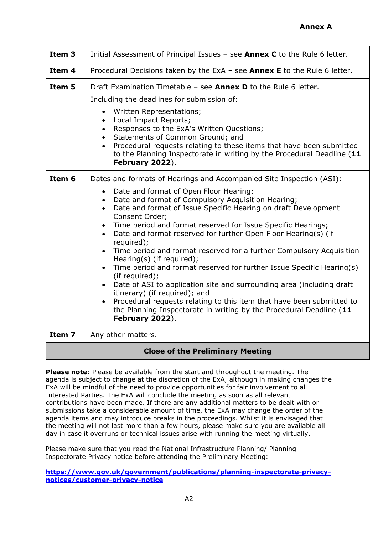| Item <sub>3</sub>                       | Initial Assessment of Principal Issues - see <b>Annex C</b> to the Rule 6 letter.                                                                                                                                                                                                                                                                                                                                                                                                                                                                                                                                                                                                                                                                                                                                                                                                                                                                                                                          |  |  |
|-----------------------------------------|------------------------------------------------------------------------------------------------------------------------------------------------------------------------------------------------------------------------------------------------------------------------------------------------------------------------------------------------------------------------------------------------------------------------------------------------------------------------------------------------------------------------------------------------------------------------------------------------------------------------------------------------------------------------------------------------------------------------------------------------------------------------------------------------------------------------------------------------------------------------------------------------------------------------------------------------------------------------------------------------------------|--|--|
| Item 4                                  | Procedural Decisions taken by the ExA - see <b>Annex E</b> to the Rule 6 letter.                                                                                                                                                                                                                                                                                                                                                                                                                                                                                                                                                                                                                                                                                                                                                                                                                                                                                                                           |  |  |
| Item 5                                  | Draft Examination Timetable - see <b>Annex D</b> to the Rule 6 letter.<br>Including the deadlines for submission of:<br>Written Representations;<br>$\bullet$<br>Local Impact Reports;<br>$\bullet$<br>Responses to the ExA's Written Questions;<br>$\bullet$<br>Statements of Common Ground; and<br>$\bullet$<br>Procedural requests relating to these items that have been submitted<br>$\bullet$<br>to the Planning Inspectorate in writing by the Procedural Deadline (11<br>February 2022).                                                                                                                                                                                                                                                                                                                                                                                                                                                                                                           |  |  |
| Item 6                                  | Dates and formats of Hearings and Accompanied Site Inspection (ASI):<br>Date and format of Open Floor Hearing;<br>$\bullet$<br>Date and format of Compulsory Acquisition Hearing;<br>$\bullet$<br>Date and format of Issue Specific Hearing on draft Development<br>$\bullet$<br>Consent Order;<br>Time period and format reserved for Issue Specific Hearings;<br>$\bullet$<br>Date and format reserved for further Open Floor Hearing(s) (if<br>$\bullet$<br>required);<br>Time period and format reserved for a further Compulsory Acquisition<br>$\bullet$<br>Hearing(s) (if required);<br>Time period and format reserved for further Issue Specific Hearing(s)<br>$\bullet$<br>(if required);<br>Date of ASI to application site and surrounding area (including draft<br>$\bullet$<br>itinerary) (if required); and<br>Procedural requests relating to this item that have been submitted to<br>$\bullet$<br>the Planning Inspectorate in writing by the Procedural Deadline (11<br>February 2022). |  |  |
| Item 7                                  | Any other matters.                                                                                                                                                                                                                                                                                                                                                                                                                                                                                                                                                                                                                                                                                                                                                                                                                                                                                                                                                                                         |  |  |
| <b>Close of the Preliminary Meeting</b> |                                                                                                                                                                                                                                                                                                                                                                                                                                                                                                                                                                                                                                                                                                                                                                                                                                                                                                                                                                                                            |  |  |

**Please note**: Please be available from the start and throughout the meeting. The agenda is subject to change at the discretion of the ExA, although in making changes the ExA will be mindful of the need to provide opportunities for fair involvement to all Interested Parties. The ExA will conclude the meeting as soon as all relevant contributions have been made. If there are any additional matters to be dealt with or submissions take a considerable amount of time, the ExA may change the order of the agenda items and may introduce breaks in the proceedings. Whilst it is envisaged that the meeting will not last more than a few hours, please make sure you are available all day in case it overruns or technical issues arise with running the meeting virtually.

Please make sure that you read the National Infrastructure Planning/ Planning Inspectorate Privacy notice before attending the Preliminary Meeting:

**[https://www.gov.uk/government/publications/planning-inspectorate-privacy](https://www.gov.uk/government/publications/planning-inspectorate-privacy-notices/customer-privacy-notice)[notices/customer-privacy-notice](https://www.gov.uk/government/publications/planning-inspectorate-privacy-notices/customer-privacy-notice)**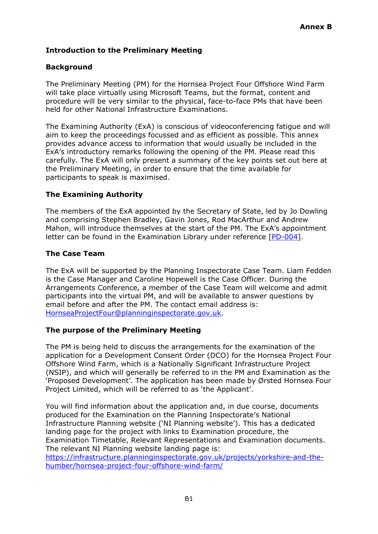# **Introduction to the Preliminary Meeting**

# **Background**

The Preliminary Meeting (PM) for the Hornsea Project Four Offshore Wind Farm will take place virtually using Microsoft Teams, but the format, content and procedure will be very similar to the physical, face-to-face PMs that have been held for other National Infrastructure Examinations.

The Examining Authority (ExA) is conscious of videoconferencing fatigue and will aim to keep the proceedings focussed and as efficient as possible. This annex provides advance access to information that would usually be included in the ExA's introductory remarks following the opening of the PM. Please read this carefully. The ExA will only present a summary of the key points set out here at the Preliminary Meeting, in order to ensure that the time available for participants to speak is maximised.

# **The Examining Authority**

The members of the ExA appointed by the Secretary of State, led by Jo Dowling and comprising Stephen Bradley, Gavin Jones, Rod MacArthur and Andrew Mahon, will introduce themselves at the start of the PM. The ExA's appointment letter can be found in the Examination Library under reference [\[PD-004\]](https://infrastructure.planninginspectorate.gov.uk/wp-content/ipc/uploads/projects/EN010098/EN010098-000856-Hornsea%204%20Rule%204%20Appointment%20of%20ExA.pdf).

# **The Case Team**

The ExA will be supported by the Planning Inspectorate Case Team. Liam Fedden is the Case Manager and Caroline Hopewell is the Case Officer. During the Arrangements Conference, a member of the Case Team will welcome and admit participants into the virtual PM, and will be available to answer questions by email before and after the PM. The contact email address is: [HornseaProjectFour@planninginspectorate.gov.uk.](mailto:HornseaProjectFour@planninginspectorate.gov.uk)

#### **The purpose of the Preliminary Meeting**

The PM is being held to discuss the arrangements for the examination of the application for a Development Consent Order (DCO) for the Hornsea Project Four Offshore Wind Farm, which is a Nationally Significant Infrastructure Project (NSIP), and which will generally be referred to in the PM and Examination as the 'Proposed Development'. The application has been made by Ørsted Hornsea Four Project Limited, which will be referred to as 'the Applicant'.

You will find information about the application and, in due course, documents produced for the Examination on the Planning Inspectorate's National Infrastructure Planning website ('NI Planning website'). This has a dedicated landing page for the project with links to Examination procedure, the Examination Timetable, Relevant Representations and Examination documents. The relevant NI Planning website landing page is:

[https://infrastructure.planninginspectorate.gov.uk/projects/yorkshire-and-the](https://infrastructure.planninginspectorate.gov.uk/projects/yorkshire-and-the-humber/hornsea-project-four-offshore-wind-farm/)[humber/hornsea-project-four-offshore-wind-farm/](https://infrastructure.planninginspectorate.gov.uk/projects/yorkshire-and-the-humber/hornsea-project-four-offshore-wind-farm/)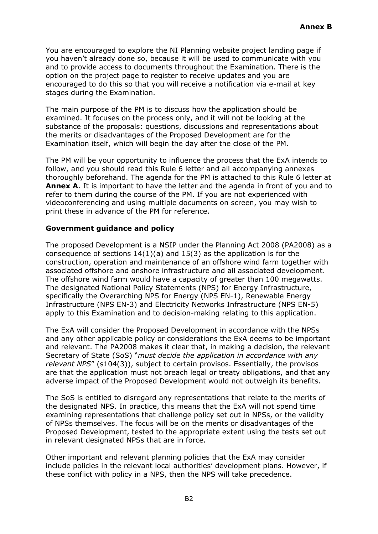You are encouraged to explore the NI Planning website project landing page if you haven't already done so, because it will be used to communicate with you and to provide access to documents throughout the Examination. There is the option on the project page to register to receive updates and you are encouraged to do this so that you will receive a notification via e-mail at key stages during the Examination.

The main purpose of the PM is to discuss how the application should be examined. It focuses on the process only, and it will not be looking at the substance of the proposals: questions, discussions and representations about the merits or disadvantages of the Proposed Development are for the Examination itself, which will begin the day after the close of the PM.

The PM will be your opportunity to influence the process that the ExA intends to follow, and you should read this Rule 6 letter and all accompanying annexes thoroughly beforehand. The agenda for the PM is attached to this Rule 6 letter at **Annex A**. It is important to have the letter and the agenda in front of you and to refer to them during the course of the PM. If you are not experienced with videoconferencing and using multiple documents on screen, you may wish to print these in advance of the PM for reference.

# **Government guidance and policy**

The proposed Development is a NSIP under the Planning Act 2008 (PA2008) as a consequence of sections 14(1)(a) and 15(3) as the application is for the construction, operation and maintenance of an offshore wind farm together with associated offshore and onshore infrastructure and all associated development. The offshore wind farm would have a capacity of greater than 100 megawatts. The designated National Policy Statements (NPS) for Energy Infrastructure, specifically the Overarching NPS for Energy (NPS EN-1), Renewable Energy Infrastructure (NPS EN-3) and Electricity Networks Infrastructure (NPS EN-5) apply to this Examination and to decision-making relating to this application.

The ExA will consider the Proposed Development in accordance with the NPSs and any other applicable policy or considerations the ExA deems to be important and relevant. The PA2008 makes it clear that, in making a decision, the relevant Secretary of State (SoS) "*must decide the application in accordance with any relevant NPS*" (s104(3)), subject to certain provisos. Essentially, the provisos are that the application must not breach legal or treaty obligations, and that any adverse impact of the Proposed Development would not outweigh its benefits.

The SoS is entitled to disregard any representations that relate to the merits of the designated NPS. In practice, this means that the ExA will not spend time examining representations that challenge policy set out in NPSs, or the validity of NPSs themselves. The focus will be on the merits or disadvantages of the Proposed Development, tested to the appropriate extent using the tests set out in relevant designated NPSs that are in force.

Other important and relevant planning policies that the ExA may consider include policies in the relevant local authorities' development plans. However, if these conflict with policy in a NPS, then the NPS will take precedence.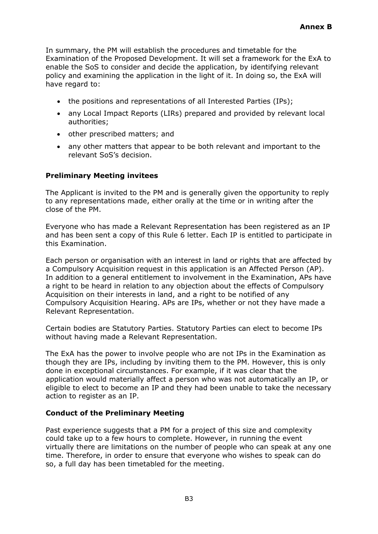In summary, the PM will establish the procedures and timetable for the Examination of the Proposed Development. It will set a framework for the ExA to enable the SoS to consider and decide the application, by identifying relevant policy and examining the application in the light of it. In doing so, the ExA will have regard to:

- the positions and representations of all Interested Parties (IPs);
- any Local Impact Reports (LIRs) prepared and provided by relevant local authorities;
- other prescribed matters; and
- any other matters that appear to be both relevant and important to the relevant SoS's decision.

#### **Preliminary Meeting invitees**

The Applicant is invited to the PM and is generally given the opportunity to reply to any representations made, either orally at the time or in writing after the close of the PM.

Everyone who has made a Relevant Representation has been registered as an IP and has been sent a copy of this Rule 6 letter. Each IP is entitled to participate in this Examination.

Each person or organisation with an interest in land or rights that are affected by a Compulsory Acquisition request in this application is an Affected Person (AP). In addition to a general entitlement to involvement in the Examination, APs have a right to be heard in relation to any objection about the effects of Compulsory Acquisition on their interests in land, and a right to be notified of any Compulsory Acquisition Hearing. APs are IPs, whether or not they have made a Relevant Representation.

Certain bodies are Statutory Parties. Statutory Parties can elect to become IPs without having made a Relevant Representation.

The ExA has the power to involve people who are not IPs in the Examination as though they are IPs, including by inviting them to the PM. However, this is only done in exceptional circumstances. For example, if it was clear that the application would materially affect a person who was not automatically an IP, or eligible to elect to become an IP and they had been unable to take the necessary action to register as an IP.

#### **Conduct of the Preliminary Meeting**

Past experience suggests that a PM for a project of this size and complexity could take up to a few hours to complete. However, in running the event virtually there are limitations on the number of people who can speak at any one time. Therefore, in order to ensure that everyone who wishes to speak can do so, a full day has been timetabled for the meeting.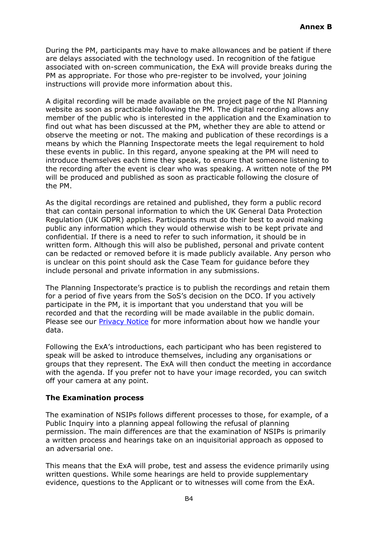During the PM, participants may have to make allowances and be patient if there are delays associated with the technology used. In recognition of the fatigue associated with on-screen communication, the ExA will provide breaks during the PM as appropriate. For those who pre-register to be involved, your joining instructions will provide more information about this.

A digital recording will be made available on the project page of the NI Planning website as soon as practicable following the PM. The digital recording allows any member of the public who is interested in the application and the Examination to find out what has been discussed at the PM, whether they are able to attend or observe the meeting or not. The making and publication of these recordings is a means by which the Planning Inspectorate meets the legal requirement to hold these events in public. In this regard, anyone speaking at the PM will need to introduce themselves each time they speak, to ensure that someone listening to the recording after the event is clear who was speaking. A written note of the PM will be produced and published as soon as practicable following the closure of the PM.

As the digital recordings are retained and published, they form a public record that can contain personal information to which the UK General Data Protection Regulation (UK GDPR) applies. Participants must do their best to avoid making public any information which they would otherwise wish to be kept private and confidential. If there is a need to refer to such information, it should be in written form. Although this will also be published, personal and private content can be redacted or removed before it is made publicly available. Any person who is unclear on this point should ask the Case Team for guidance before they include personal and private information in any submissions.

The Planning Inspectorate's practice is to publish the recordings and retain them for a period of five years from the SoS's decision on the DCO. If you actively participate in the PM, it is important that you understand that you will be recorded and that the recording will be made available in the public domain. Please see our [Privacy Notice](https://www.gov.uk/government/publications/planning-inspectorate-privacy-notices/customer-privacy-notice) for more information about how we handle your data.

Following the ExA's introductions, each participant who has been registered to speak will be asked to introduce themselves, including any organisations or groups that they represent. The ExA will then conduct the meeting in accordance with the agenda. If you prefer not to have your image recorded, you can switch off your camera at any point.

#### **The Examination process**

The examination of NSIPs follows different processes to those, for example, of a Public Inquiry into a planning appeal following the refusal of planning permission. The main differences are that the examination of NSIPs is primarily a written process and hearings take on an inquisitorial approach as opposed to an adversarial one.

This means that the ExA will probe, test and assess the evidence primarily using written questions. While some hearings are held to provide supplementary evidence, questions to the Applicant or to witnesses will come from the ExA.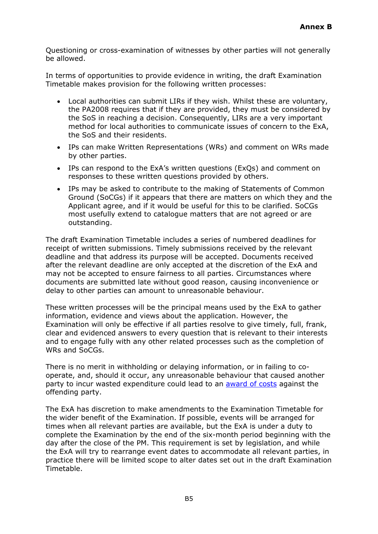Questioning or cross-examination of witnesses by other parties will not generally be allowed.

In terms of opportunities to provide evidence in writing, the draft Examination Timetable makes provision for the following written processes:

- Local authorities can submit LIRs if they wish. Whilst these are voluntary, the PA2008 requires that if they are provided, they must be considered by the SoS in reaching a decision. Consequently, LIRs are a very important method for local authorities to communicate issues of concern to the ExA, the SoS and their residents.
- IPs can make Written Representations (WRs) and comment on WRs made by other parties.
- IPs can respond to the ExA's written questions (ExQs) and comment on responses to these written questions provided by others.
- IPs may be asked to contribute to the making of Statements of Common Ground (SoCGs) if it appears that there are matters on which they and the Applicant agree, and if it would be useful for this to be clarified. SoCGs most usefully extend to catalogue matters that are not agreed or are outstanding.

The draft Examination Timetable includes a series of numbered deadlines for receipt of written submissions. Timely submissions received by the relevant deadline and that address its purpose will be accepted. Documents received after the relevant deadline are only accepted at the discretion of the ExA and may not be accepted to ensure fairness to all parties. Circumstances where documents are submitted late without good reason, causing inconvenience or delay to other parties can amount to unreasonable behaviour.

These written processes will be the principal means used by the ExA to gather information, evidence and views about the application. However, the Examination will only be effective if all parties resolve to give timely, full, frank, clear and evidenced answers to every question that is relevant to their interests and to engage fully with any other related processes such as the completion of WRs and SoCGs.

There is no merit in withholding or delaying information, or in failing to cooperate, and, should it occur, any unreasonable behaviour that caused another party to incur wasted expenditure could lead to an [award of costs](https://infrastructure.planninginspectorate.gov.uk/application-process/costs/) against the offending party.

The ExA has discretion to make amendments to the Examination Timetable for the wider benefit of the Examination. If possible, events will be arranged for times when all relevant parties are available, but the ExA is under a duty to complete the Examination by the end of the six-month period beginning with the day after the close of the PM. This requirement is set by legislation, and while the ExA will try to rearrange event dates to accommodate all relevant parties, in practice there will be limited scope to alter dates set out in the draft Examination Timetable.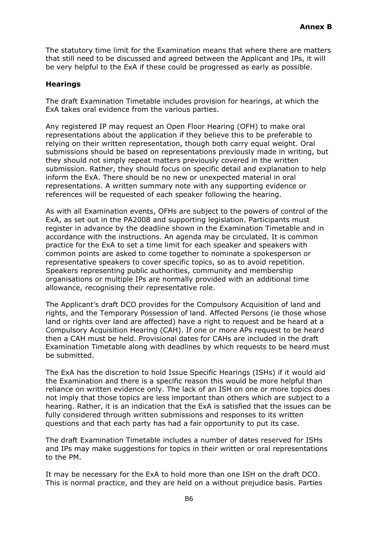The statutory time limit for the Examination means that where there are matters that still need to be discussed and agreed between the Applicant and IPs, it will be very helpful to the ExA if these could be progressed as early as possible.

#### **Hearings**

The draft Examination Timetable includes provision for hearings, at which the ExA takes oral evidence from the various parties.

Any registered IP may request an Open Floor Hearing (OFH) to make oral representations about the application if they believe this to be preferable to relying on their written representation, though both carry equal weight. Oral submissions should be based on representations previously made in writing, but they should not simply repeat matters previously covered in the written submission. Rather, they should focus on specific detail and explanation to help inform the ExA. There should be no new or unexpected material in oral representations. A written summary note with any supporting evidence or references will be requested of each speaker following the hearing.

As with all Examination events, OFHs are subject to the powers of control of the ExA, as set out in the PA2008 and supporting legislation. Participants must register in advance by the deadline shown in the Examination Timetable and in accordance with the instructions. An agenda may be circulated. It is common practice for the ExA to set a time limit for each speaker and speakers with common points are asked to come together to nominate a spokesperson or representative speakers to cover specific topics, so as to avoid repetition. Speakers representing public authorities, community and membership organisations or multiple IPs are normally provided with an additional time allowance, recognising their representative role.

The Applicant's draft DCO provides for the Compulsory Acquisition of land and rights, and the Temporary Possession of land. Affected Persons (ie those whose land or rights over land are affected) have a right to request and be heard at a Compulsory Acquisition Hearing (CAH). If one or more APs request to be heard then a CAH must be held. Provisional dates for CAHs are included in the draft Examination Timetable along with deadlines by which requests to be heard must be submitted.

The ExA has the discretion to hold Issue Specific Hearings (ISHs) if it would aid the Examination and there is a specific reason this would be more helpful than reliance on written evidence only. The lack of an ISH on one or more topics does not imply that those topics are less important than others which are subject to a hearing. Rather, it is an indication that the ExA is satisfied that the issues can be fully considered through written submissions and responses to its written questions and that each party has had a fair opportunity to put its case.

The draft Examination Timetable includes a number of dates reserved for ISHs and IPs may make suggestions for topics in their written or oral representations to the PM.

It may be necessary for the ExA to hold more than one ISH on the draft DCO. This is normal practice, and they are held on a without prejudice basis. Parties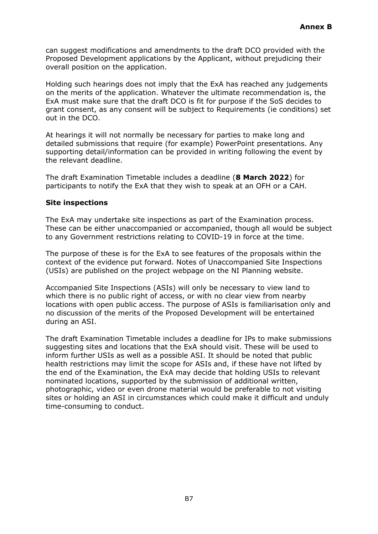can suggest modifications and amendments to the draft DCO provided with the Proposed Development applications by the Applicant, without prejudicing their overall position on the application.

Holding such hearings does not imply that the ExA has reached any judgements on the merits of the application. Whatever the ultimate recommendation is, the ExA must make sure that the draft DCO is fit for purpose if the SoS decides to grant consent, as any consent will be subject to Requirements (ie conditions) set out in the DCO.

At hearings it will not normally be necessary for parties to make long and detailed submissions that require (for example) PowerPoint presentations. Any supporting detail/information can be provided in writing following the event by the relevant deadline.

The draft Examination Timetable includes a deadline (**8 March 2022**) for participants to notify the ExA that they wish to speak at an OFH or a CAH.

#### **Site inspections**

The ExA may undertake site inspections as part of the Examination process. These can be either unaccompanied or accompanied, though all would be subject to any Government restrictions relating to COVID-19 in force at the time.

The purpose of these is for the ExA to see features of the proposals within the context of the evidence put forward. Notes of Unaccompanied Site Inspections (USIs) are published on the project webpage on the NI Planning website.

Accompanied Site Inspections (ASIs) will only be necessary to view land to which there is no public right of access, or with no clear view from nearby locations with open public access. The purpose of ASIs is familiarisation only and no discussion of the merits of the Proposed Development will be entertained during an ASI.

The draft Examination Timetable includes a deadline for IPs to make submissions suggesting sites and locations that the ExA should visit. These will be used to inform further USIs as well as a possible ASI. It should be noted that public health restrictions may limit the scope for ASIs and, if these have not lifted by the end of the Examination, the ExA may decide that holding USIs to relevant nominated locations, supported by the submission of additional written, photographic, video or even drone material would be preferable to not visiting sites or holding an ASI in circumstances which could make it difficult and unduly time-consuming to conduct.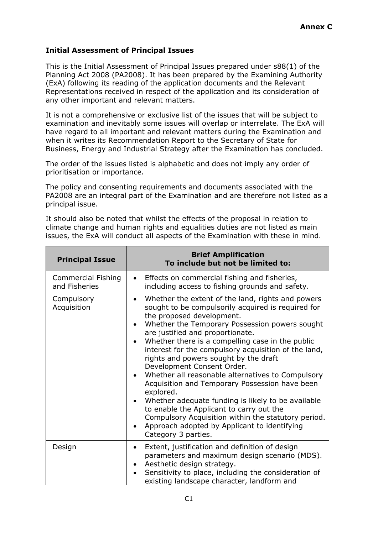# **Initial Assessment of Principal Issues**

This is the Initial Assessment of Principal Issues prepared under s88(1) of the Planning Act 2008 (PA2008). It has been prepared by the Examining Authority (ExA) following its reading of the application documents and the Relevant Representations received in respect of the application and its consideration of any other important and relevant matters.

It is not a comprehensive or exclusive list of the issues that will be subject to examination and inevitably some issues will overlap or interrelate. The ExA will have regard to all important and relevant matters during the Examination and when it writes its Recommendation Report to the Secretary of State for Business, Energy and Industrial Strategy after the Examination has concluded.

The order of the issues listed is alphabetic and does not imply any order of prioritisation or importance.

The policy and consenting requirements and documents associated with the PA2008 are an integral part of the Examination and are therefore not listed as a principal issue.

It should also be noted that whilst the effects of the proposal in relation to climate change and human rights and equalities duties are not listed as main issues, the ExA will conduct all aspects of the Examination with these in mind.

| <b>Principal Issue</b>                     | <b>Brief Amplification</b><br>To include but not be limited to:                                                                                                                                                                                                                                                                                                                                                                                                                                                                                                                                                                                                                                                                                                                                  |  |
|--------------------------------------------|--------------------------------------------------------------------------------------------------------------------------------------------------------------------------------------------------------------------------------------------------------------------------------------------------------------------------------------------------------------------------------------------------------------------------------------------------------------------------------------------------------------------------------------------------------------------------------------------------------------------------------------------------------------------------------------------------------------------------------------------------------------------------------------------------|--|
| <b>Commercial Fishing</b><br>and Fisheries | Effects on commercial fishing and fisheries,<br>$\bullet$<br>including access to fishing grounds and safety.                                                                                                                                                                                                                                                                                                                                                                                                                                                                                                                                                                                                                                                                                     |  |
| Compulsory<br>Acquisition                  | Whether the extent of the land, rights and powers<br>$\bullet$<br>sought to be compulsorily acquired is required for<br>the proposed development.<br>Whether the Temporary Possession powers sought<br>$\bullet$<br>are justified and proportionate.<br>Whether there is a compelling case in the public<br>interest for the compulsory acquisition of the land,<br>rights and powers sought by the draft<br>Development Consent Order.<br>Whether all reasonable alternatives to Compulsory<br>Acquisition and Temporary Possession have been<br>explored.<br>Whether adequate funding is likely to be available<br>to enable the Applicant to carry out the<br>Compulsory Acquisition within the statutory period.<br>Approach adopted by Applicant to identifying<br>٠<br>Category 3 parties. |  |
| Design                                     | Extent, justification and definition of design<br>$\bullet$<br>parameters and maximum design scenario (MDS).<br>Aesthetic design strategy.<br>Sensitivity to place, including the consideration of<br>existing landscape character, landform and                                                                                                                                                                                                                                                                                                                                                                                                                                                                                                                                                 |  |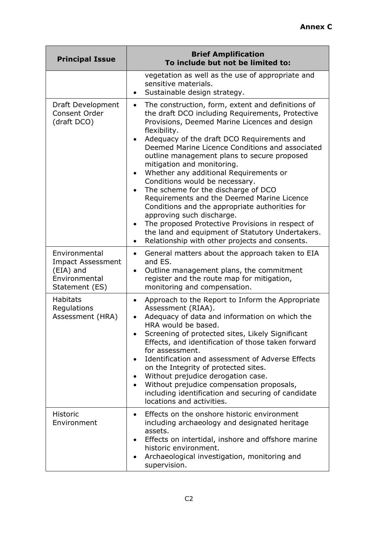| <b>Principal Issue</b>                                                                    | <b>Brief Amplification</b><br>To include but not be limited to:                                                                                                                                                                                                                                                                                                                                                                                                                                                                                                                                                                                                                                                                                                                                            |  |  |
|-------------------------------------------------------------------------------------------|------------------------------------------------------------------------------------------------------------------------------------------------------------------------------------------------------------------------------------------------------------------------------------------------------------------------------------------------------------------------------------------------------------------------------------------------------------------------------------------------------------------------------------------------------------------------------------------------------------------------------------------------------------------------------------------------------------------------------------------------------------------------------------------------------------|--|--|
|                                                                                           | vegetation as well as the use of appropriate and<br>sensitive materials.<br>Sustainable design strategy.                                                                                                                                                                                                                                                                                                                                                                                                                                                                                                                                                                                                                                                                                                   |  |  |
| Draft Development<br>Consent Order<br>(draft DCO)                                         | The construction, form, extent and definitions of<br>$\bullet$<br>the draft DCO including Requirements, Protective<br>Provisions, Deemed Marine Licences and design<br>flexibility.<br>Adequacy of the draft DCO Requirements and<br>Deemed Marine Licence Conditions and associated<br>outline management plans to secure proposed<br>mitigation and monitoring.<br>Whether any additional Requirements or<br>$\bullet$<br>Conditions would be necessary.<br>The scheme for the discharge of DCO<br>$\bullet$<br>Requirements and the Deemed Marine Licence<br>Conditions and the appropriate authorities for<br>approving such discharge.<br>The proposed Protective Provisions in respect of<br>the land and equipment of Statutory Undertakers.<br>Relationship with other projects and consents.<br>٠ |  |  |
| Environmental<br><b>Impact Assessment</b><br>(EIA) and<br>Environmental<br>Statement (ES) | General matters about the approach taken to EIA<br>$\bullet$<br>and ES.<br>Outline management plans, the commitment<br>٠<br>register and the route map for mitigation,<br>monitoring and compensation.                                                                                                                                                                                                                                                                                                                                                                                                                                                                                                                                                                                                     |  |  |
| <b>Habitats</b><br>Regulations<br>Assessment (HRA)                                        | Approach to the Report to Inform the Appropriate<br>$\bullet$<br>Assessment (RIAA).<br>Adequacy of data and information on which the<br>HRA would be based.<br>Screening of protected sites, Likely Significant<br>Effects, and identification of those taken forward<br>for assessment.<br>Identification and assessment of Adverse Effects<br>on the Integrity of protected sites.<br>Without prejudice derogation case.<br>Without prejudice compensation proposals,<br>$\bullet$<br>including identification and securing of candidate<br>locations and activities.                                                                                                                                                                                                                                    |  |  |
| <b>Historic</b><br>Environment                                                            | Effects on the onshore historic environment<br>٠<br>including archaeology and designated heritage<br>assets.<br>Effects on intertidal, inshore and offshore marine<br>historic environment.<br>Archaeological investigation, monitoring and<br>supervision.                                                                                                                                                                                                                                                                                                                                                                                                                                                                                                                                                |  |  |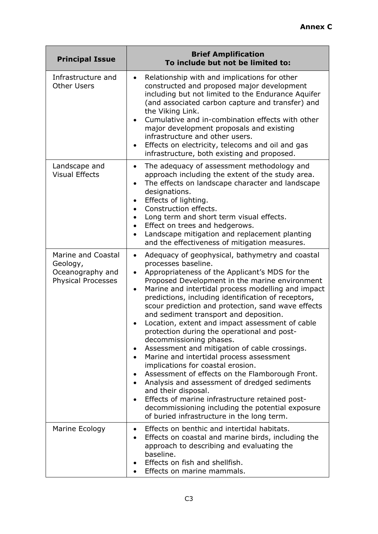| <b>Principal Issue</b>                                                          | <b>Brief Amplification</b><br>To include but not be limited to:                                                                                                                                                                                                                                                                                                                                                                                                                                                                                                                                                                                                                                                                                                                                                                                                                                                                                                              |  |  |
|---------------------------------------------------------------------------------|------------------------------------------------------------------------------------------------------------------------------------------------------------------------------------------------------------------------------------------------------------------------------------------------------------------------------------------------------------------------------------------------------------------------------------------------------------------------------------------------------------------------------------------------------------------------------------------------------------------------------------------------------------------------------------------------------------------------------------------------------------------------------------------------------------------------------------------------------------------------------------------------------------------------------------------------------------------------------|--|--|
| Infrastructure and<br><b>Other Users</b>                                        | Relationship with and implications for other<br>$\bullet$<br>constructed and proposed major development<br>including but not limited to the Endurance Aquifer<br>(and associated carbon capture and transfer) and<br>the Viking Link.<br>Cumulative and in-combination effects with other<br>major development proposals and existing<br>infrastructure and other users.<br>Effects on electricity, telecoms and oil and gas<br>infrastructure, both existing and proposed.                                                                                                                                                                                                                                                                                                                                                                                                                                                                                                  |  |  |
| Landscape and<br><b>Visual Effects</b>                                          | The adequacy of assessment methodology and<br>٠<br>approach including the extent of the study area.<br>The effects on landscape character and landscape<br>$\bullet$<br>designations.<br>Effects of lighting.<br>Construction effects.<br>Long term and short term visual effects.<br>Effect on trees and hedgerows.<br>$\bullet$<br>Landscape mitigation and replacement planting<br>and the effectiveness of mitigation measures.                                                                                                                                                                                                                                                                                                                                                                                                                                                                                                                                          |  |  |
| Marine and Coastal<br>Geology,<br>Oceanography and<br><b>Physical Processes</b> | Adequacy of geophysical, bathymetry and coastal<br>$\bullet$<br>processes baseline.<br>Appropriateness of the Applicant's MDS for the<br>$\bullet$<br>Proposed Development in the marine environment<br>Marine and intertidal process modelling and impact<br>$\bullet$<br>predictions, including identification of receptors,<br>scour prediction and protection, sand wave effects<br>and sediment transport and deposition.<br>Location, extent and impact assessment of cable<br>protection during the operational and post-<br>decommissioning phases.<br>Assessment and mitigation of cable crossings.<br>Marine and intertidal process assessment<br>implications for coastal erosion.<br>Assessment of effects on the Flamborough Front.<br>Analysis and assessment of dredged sediments<br>and their disposal.<br>Effects of marine infrastructure retained post-<br>decommissioning including the potential exposure<br>of buried infrastructure in the long term. |  |  |
| Marine Ecology                                                                  | Effects on benthic and intertidal habitats.<br>Effects on coastal and marine birds, including the<br>approach to describing and evaluating the<br>baseline.<br>Effects on fish and shellfish.<br>Effects on marine mammals.                                                                                                                                                                                                                                                                                                                                                                                                                                                                                                                                                                                                                                                                                                                                                  |  |  |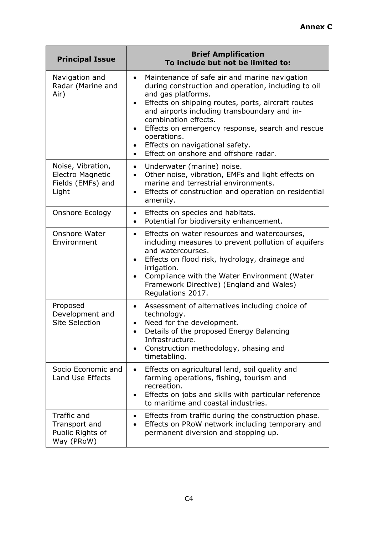| <b>Principal Issue</b>                                              | <b>Brief Amplification</b><br>To include but not be limited to:                                                                                                                                                                                                                                                                                                                                                                                                                                                                                                                                   |  |  |
|---------------------------------------------------------------------|---------------------------------------------------------------------------------------------------------------------------------------------------------------------------------------------------------------------------------------------------------------------------------------------------------------------------------------------------------------------------------------------------------------------------------------------------------------------------------------------------------------------------------------------------------------------------------------------------|--|--|
| Navigation and<br>Radar (Marine and<br>Air)                         | Maintenance of safe air and marine navigation<br>$\bullet$<br>during construction and operation, including to oil<br>and gas platforms.<br>Effects on shipping routes, ports, aircraft routes<br>$\bullet$<br>and airports including transboundary and in-<br>combination effects.<br>Effects on emergency response, search and rescue<br>$\bullet$<br>operations.<br>Effects on navigational safety.<br>$\bullet$<br>Effect on onshore and offshore radar.<br>$\bullet$                                                                                                                          |  |  |
| Noise, Vibration,<br>Electro Magnetic<br>Fields (EMFs) and<br>Light | Underwater (marine) noise.<br>$\bullet$<br>Other noise, vibration, EMFs and light effects on<br>$\bullet$<br>marine and terrestrial environments.<br>Effects of construction and operation on residential<br>$\bullet$<br>amenity.                                                                                                                                                                                                                                                                                                                                                                |  |  |
| Onshore Ecology                                                     | Effects on species and habitats.<br>$\bullet$<br>Potential for biodiversity enhancement.<br>$\bullet$                                                                                                                                                                                                                                                                                                                                                                                                                                                                                             |  |  |
| Onshore Water<br>Environment                                        | Effects on water resources and watercourses,<br>$\bullet$<br>including measures to prevent pollution of aquifers<br>and watercourses.<br>Effects on flood risk, hydrology, drainage and<br>$\bullet$<br>irrigation.<br>Compliance with the Water Environment (Water<br>$\bullet$<br>Framework Directive) (England and Wales)<br>Regulations 2017.<br>Assessment of alternatives including choice of<br>$\bullet$<br>technology.<br>Need for the development.<br>$\bullet$<br>Details of the proposed Energy Balancing<br>Infrastructure.<br>Construction methodology, phasing and<br>timetabling. |  |  |
| Proposed<br>Development and<br><b>Site Selection</b>                |                                                                                                                                                                                                                                                                                                                                                                                                                                                                                                                                                                                                   |  |  |
| Socio Economic and<br>Land Use Effects                              | Effects on agricultural land, soil quality and<br>$\bullet$<br>farming operations, fishing, tourism and<br>recreation.<br>Effects on jobs and skills with particular reference<br>to maritime and coastal industries.                                                                                                                                                                                                                                                                                                                                                                             |  |  |
| Traffic and<br>Transport and<br>Public Rights of<br>Way (PRoW)      | Effects from traffic during the construction phase.<br>٠<br>Effects on PRoW network including temporary and<br>permanent diversion and stopping up.                                                                                                                                                                                                                                                                                                                                                                                                                                               |  |  |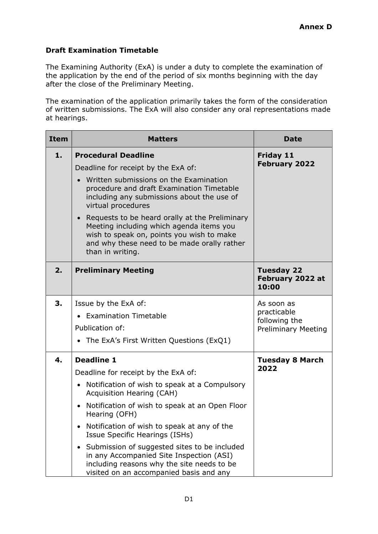# **Draft Examination Timetable**

The Examining Authority (ExA) is under a duty to complete the examination of the application by the end of the period of six months beginning with the day after the close of the Preliminary Meeting.

The examination of the application primarily takes the form of the consideration of written submissions. The ExA will also consider any oral representations made at hearings.

| <b>Item</b> | <b>Matters</b>                                                                                                                                                                                                          | <b>Date</b>                                    |
|-------------|-------------------------------------------------------------------------------------------------------------------------------------------------------------------------------------------------------------------------|------------------------------------------------|
| 1.          | <b>Procedural Deadline</b><br>Deadline for receipt by the ExA of:                                                                                                                                                       | <b>Friday 11</b><br><b>February 2022</b>       |
|             | Written submissions on the Examination<br>procedure and draft Examination Timetable<br>including any submissions about the use of<br>virtual procedures                                                                 |                                                |
|             | Requests to be heard orally at the Preliminary<br>$\bullet$<br>Meeting including which agenda items you<br>wish to speak on, points you wish to make<br>and why these need to be made orally rather<br>than in writing. |                                                |
| 2.          | <b>Preliminary Meeting</b>                                                                                                                                                                                              | <b>Tuesday 22</b><br>February 2022 at<br>10:00 |
| 3.          | Issue by the ExA of:<br>• Examination Timetable                                                                                                                                                                         | As soon as<br>practicable                      |
|             | Publication of:                                                                                                                                                                                                         | following the<br><b>Preliminary Meeting</b>    |
|             | • The ExA's First Written Questions (ExQ1)                                                                                                                                                                              |                                                |
| 4.          | <b>Deadline 1</b><br>Deadline for receipt by the ExA of:                                                                                                                                                                | <b>Tuesday 8 March</b><br>2022                 |
|             | Notification of wish to speak at a Compulsory<br>$\bullet$<br>Acquisition Hearing (CAH)                                                                                                                                 |                                                |
|             | Notification of wish to speak at an Open Floor<br>$\bullet$<br>Hearing (OFH)                                                                                                                                            |                                                |
|             | Notification of wish to speak at any of the<br>$\bullet$<br>Issue Specific Hearings (ISHs)                                                                                                                              |                                                |
|             | Submission of suggested sites to be included<br>$\bullet$<br>in any Accompanied Site Inspection (ASI)<br>including reasons why the site needs to be<br>visited on an accompanied basis and any                          |                                                |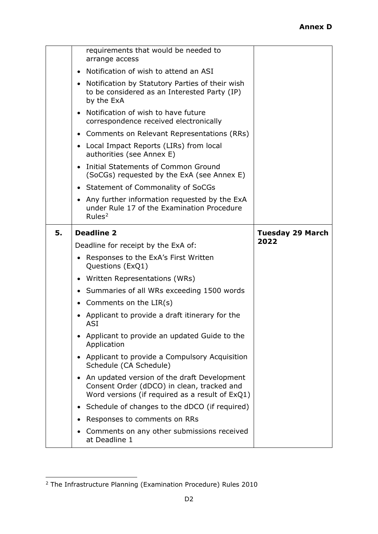|    | requirements that would be needed to<br>arrange access<br>Notification of wish to attend an ASI<br>$\bullet$<br>• Notification by Statutory Parties of their wish<br>to be considered as an Interested Party (IP)<br>by the ExA<br>Notification of wish to have future<br>$\bullet$<br>correspondence received electronically<br>• Comments on Relevant Representations (RRs)<br>• Local Impact Reports (LIRs) from local<br>authorities (see Annex E)<br>• Initial Statements of Common Ground<br>(SoCGs) requested by the ExA (see Annex E)<br>• Statement of Commonality of SoCGs<br>Any further information requested by the ExA<br>$\bullet$<br>under Rule 17 of the Examination Procedure                                           |                                 |
|----|-------------------------------------------------------------------------------------------------------------------------------------------------------------------------------------------------------------------------------------------------------------------------------------------------------------------------------------------------------------------------------------------------------------------------------------------------------------------------------------------------------------------------------------------------------------------------------------------------------------------------------------------------------------------------------------------------------------------------------------------|---------------------------------|
|    | Rules <sup>2</sup>                                                                                                                                                                                                                                                                                                                                                                                                                                                                                                                                                                                                                                                                                                                        |                                 |
| 5. | <b>Deadline 2</b><br>Deadline for receipt by the ExA of:<br>• Responses to the ExA's First Written<br>Questions (ExQ1)<br>• Written Representations (WRs)<br>• Summaries of all WRs exceeding 1500 words<br>• Comments on the LIR(s)<br>Applicant to provide a draft itinerary for the<br>ASI<br>Applicant to provide an updated Guide to the<br>$\bullet$<br>Application<br>Applicant to provide a Compulsory Acquisition<br>$\bullet$<br>Schedule (CA Schedule)<br>An updated version of the draft Development<br>$\bullet$<br>Consent Order (dDCO) in clean, tracked and<br>Word versions (if required as a result of ExQ1)<br>Schedule of changes to the dDCO (if required)<br>$\bullet$<br>Responses to comments on RRs<br>$\bullet$ | <b>Tuesday 29 March</b><br>2022 |
|    | Comments on any other submissions received<br>٠<br>at Deadline 1                                                                                                                                                                                                                                                                                                                                                                                                                                                                                                                                                                                                                                                                          |                                 |

<span id="page-19-0"></span><sup>2</sup> The Infrastructure Planning (Examination Procedure) Rules 2010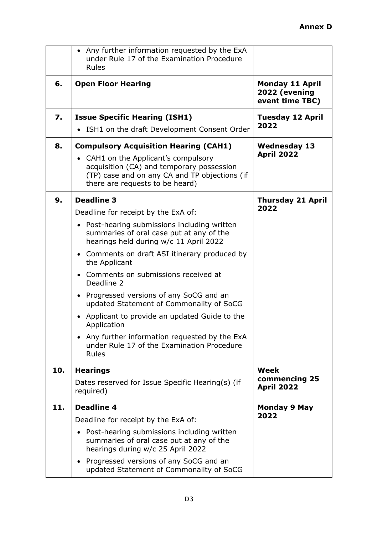|     | • Any further information requested by the ExA<br>under Rule 17 of the Examination Procedure<br>Rules                                                                 |                                                            |
|-----|-----------------------------------------------------------------------------------------------------------------------------------------------------------------------|------------------------------------------------------------|
| 6.  | <b>Open Floor Hearing</b>                                                                                                                                             | <b>Monday 11 April</b><br>2022 (evening<br>event time TBC) |
| 7.  | <b>Issue Specific Hearing (ISH1)</b>                                                                                                                                  | <b>Tuesday 12 April</b><br>2022                            |
|     | ISH1 on the draft Development Consent Order                                                                                                                           |                                                            |
| 8.  | <b>Compulsory Acquisition Hearing (CAH1)</b>                                                                                                                          | <b>Wednesday 13</b>                                        |
|     | • CAH1 on the Applicant's compulsory<br>acquisition (CA) and temporary possession<br>(TP) case and on any CA and TP objections (if<br>there are requests to be heard) | <b>April 2022</b>                                          |
| 9.  | <b>Deadline 3</b>                                                                                                                                                     | <b>Thursday 21 April</b>                                   |
|     | Deadline for receipt by the ExA of:                                                                                                                                   | 2022                                                       |
|     | • Post-hearing submissions including written<br>summaries of oral case put at any of the<br>hearings held during w/c 11 April 2022                                    |                                                            |
|     | • Comments on draft ASI itinerary produced by<br>the Applicant                                                                                                        |                                                            |
|     | • Comments on submissions received at<br>Deadline 2                                                                                                                   |                                                            |
|     | • Progressed versions of any SoCG and an<br>updated Statement of Commonality of SoCG                                                                                  |                                                            |
|     | Applicant to provide an updated Guide to the<br>$\bullet$<br>Application                                                                                              |                                                            |
|     | • Any further information requested by the ExA<br>under Rule 17 of the Examination Procedure<br><b>Rules</b>                                                          |                                                            |
| 10. | <b>Hearings</b>                                                                                                                                                       | Week                                                       |
|     | Dates reserved for Issue Specific Hearing(s) (if<br>required)                                                                                                         | commencing 25<br><b>April 2022</b>                         |
| 11. | <b>Deadline 4</b>                                                                                                                                                     | <b>Monday 9 May</b>                                        |
|     | Deadline for receipt by the ExA of:                                                                                                                                   | 2022                                                       |
|     | • Post-hearing submissions including written<br>summaries of oral case put at any of the<br>hearings during w/c 25 April 2022                                         |                                                            |
|     | • Progressed versions of any SoCG and an<br>updated Statement of Commonality of SoCG                                                                                  |                                                            |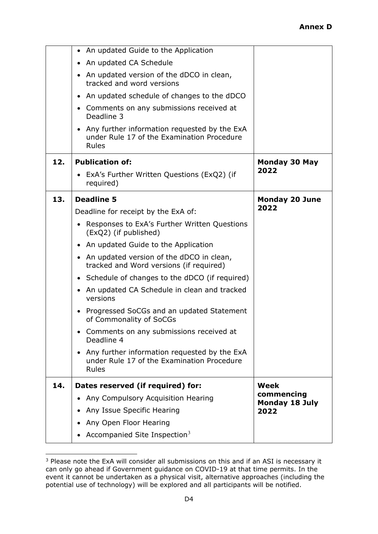|     | • An updated Guide to the Application                                                                            |                                     |
|-----|------------------------------------------------------------------------------------------------------------------|-------------------------------------|
|     | An updated CA Schedule                                                                                           |                                     |
|     | • An updated version of the dDCO in clean,<br>tracked and word versions                                          |                                     |
|     | • An updated schedule of changes to the dDCO                                                                     |                                     |
|     | • Comments on any submissions received at<br>Deadline 3                                                          |                                     |
|     | • Any further information requested by the ExA<br>under Rule 17 of the Examination Procedure<br><b>Rules</b>     |                                     |
| 12. | <b>Publication of:</b>                                                                                           | Monday 30 May                       |
|     | • ExA's Further Written Questions (ExQ2) (if<br>required)                                                        | 2022                                |
| 13. | <b>Deadline 5</b>                                                                                                | <b>Monday 20 June</b>               |
|     | Deadline for receipt by the ExA of:                                                                              | 2022                                |
|     | Responses to ExA's Further Written Questions<br>$\bullet$<br>(ExQ2) (if published)                               |                                     |
|     | • An updated Guide to the Application                                                                            |                                     |
|     | • An updated version of the dDCO in clean,<br>tracked and Word versions (if required)                            |                                     |
|     | • Schedule of changes to the dDCO (if required)                                                                  |                                     |
|     | • An updated CA Schedule in clean and tracked<br>versions                                                        |                                     |
|     | • Progressed SoCGs and an updated Statement<br>of Commonality of SoCGs                                           |                                     |
|     | Comments on any submissions received at<br>Deadline 4                                                            |                                     |
|     | Any further information requested by the ExA<br>$\bullet$<br>under Rule 17 of the Examination Procedure<br>Rules |                                     |
| 14. | Dates reserved (if required) for:                                                                                | <b>Week</b>                         |
|     | Any Compulsory Acquisition Hearing                                                                               | commencing<br><b>Monday 18 July</b> |
|     | Any Issue Specific Hearing                                                                                       | 2022                                |
|     | Any Open Floor Hearing                                                                                           |                                     |
|     | Accompanied Site Inspection $3$                                                                                  |                                     |

<span id="page-21-0"></span><sup>&</sup>lt;sup>3</sup> Please note the ExA will consider all submissions on this and if an ASI is necessary it can only go ahead if Government guidance on COVID-19 at that time permits. In the event it cannot be undertaken as a physical visit, alternative approaches (including the potential use of technology) will be explored and all participants will be notified.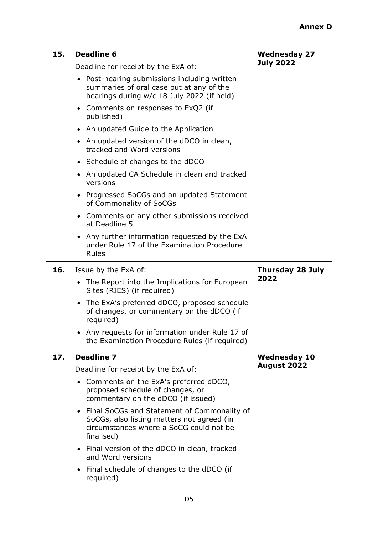| 15. | <b>Deadline 6</b>                                                                                                                                               | <b>Wednesday 27</b>     |
|-----|-----------------------------------------------------------------------------------------------------------------------------------------------------------------|-------------------------|
|     | Deadline for receipt by the ExA of:                                                                                                                             | <b>July 2022</b>        |
|     | • Post-hearing submissions including written<br>summaries of oral case put at any of the<br>hearings during w/c 18 July 2022 (if held)                          |                         |
|     | • Comments on responses to ExQ2 (if<br>published)                                                                                                               |                         |
|     | • An updated Guide to the Application                                                                                                                           |                         |
|     | An updated version of the dDCO in clean,<br>$\bullet$<br>tracked and Word versions                                                                              |                         |
|     | • Schedule of changes to the dDCO                                                                                                                               |                         |
|     | • An updated CA Schedule in clean and tracked<br>versions                                                                                                       |                         |
|     | Progressed SoCGs and an updated Statement<br>$\bullet$<br>of Commonality of SoCGs                                                                               |                         |
|     | • Comments on any other submissions received<br>at Deadline 5                                                                                                   |                         |
|     | • Any further information requested by the ExA<br>under Rule 17 of the Examination Procedure<br><b>Rules</b>                                                    |                         |
| 16. | Issue by the ExA of:                                                                                                                                            | <b>Thursday 28 July</b> |
|     | • The Report into the Implications for European<br>Sites (RIES) (if required)                                                                                   | 2022                    |
|     | • The ExA's preferred dDCO, proposed schedule<br>of changes, or commentary on the dDCO (if<br>required)                                                         |                         |
|     | Any requests for information under Rule 17 of<br>the Examination Procedure Rules (if required)                                                                  |                         |
| 17. | <b>Deadline 7</b>                                                                                                                                               | <b>Wednesday 10</b>     |
|     | Deadline for receipt by the ExA of:                                                                                                                             | August 2022             |
|     | Comments on the ExA's preferred dDCO,<br>$\bullet$<br>proposed schedule of changes, or<br>commentary on the dDCO (if issued)                                    |                         |
|     | Final SoCGs and Statement of Commonality of<br>$\bullet$<br>SoCGs, also listing matters not agreed (in<br>circumstances where a SoCG could not be<br>finalised) |                         |
|     | Final version of the dDCO in clean, tracked<br>$\bullet$<br>and Word versions                                                                                   |                         |
|     | Final schedule of changes to the dDCO (if<br>$\bullet$<br>required)                                                                                             |                         |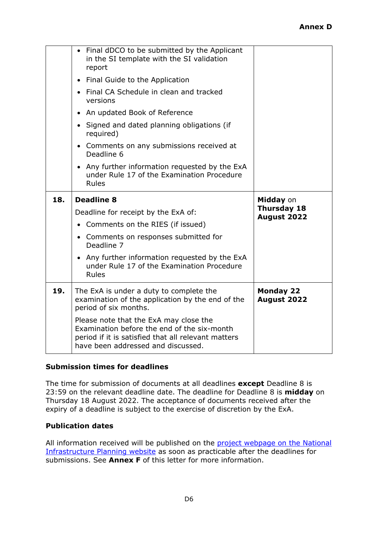|     | period of six months.<br>Please note that the ExA may close the<br>Examination before the end of the six-month<br>period if it is satisfied that all relevant matters<br>have been addressed and discussed. |                                 |
|-----|-------------------------------------------------------------------------------------------------------------------------------------------------------------------------------------------------------------|---------------------------------|
| 19. | The ExA is under a duty to complete the<br>examination of the application by the end of the                                                                                                                 | <b>Monday 22</b><br>August 2022 |
|     | • Any further information requested by the ExA<br>under Rule 17 of the Examination Procedure<br><b>Rules</b>                                                                                                |                                 |
|     | • Comments on responses submitted for<br>Deadline 7                                                                                                                                                         |                                 |
|     | • Comments on the RIES (if issued)                                                                                                                                                                          |                                 |
|     | Deadline for receipt by the ExA of:                                                                                                                                                                         | Thursday 18<br>August 2022      |
| 18. | <b>Deadline 8</b>                                                                                                                                                                                           | Midday on                       |
|     | • Any further information requested by the ExA<br>under Rule 17 of the Examination Procedure<br><b>Rules</b>                                                                                                |                                 |
|     | • Comments on any submissions received at<br>Deadline 6                                                                                                                                                     |                                 |
|     | • Signed and dated planning obligations (if<br>required)                                                                                                                                                    |                                 |
|     | • An updated Book of Reference                                                                                                                                                                              |                                 |
|     | • Final CA Schedule in clean and tracked<br>versions                                                                                                                                                        |                                 |
|     | • Final Guide to the Application                                                                                                                                                                            |                                 |
|     | • Final dDCO to be submitted by the Applicant<br>in the SI template with the SI validation<br>report                                                                                                        |                                 |

# **Submission times for deadlines**

The time for submission of documents at all deadlines **except** Deadline 8 is 23:59 on the relevant deadline date. The deadline for Deadline 8 is **midday** on Thursday 18 August 2022. The acceptance of documents received after the expiry of a deadline is subject to the exercise of discretion by the ExA.

#### **Publication dates**

All information received will be published on the project webpage on the National [Infrastructure Planning website](https://infrastructure.planninginspectorate.gov.uk/projects/yorkshire-and-the-humber/hornsea-project-four-offshore-wind-farm/) as soon as practicable after the deadlines for submissions. See **Annex F** of this letter for more information.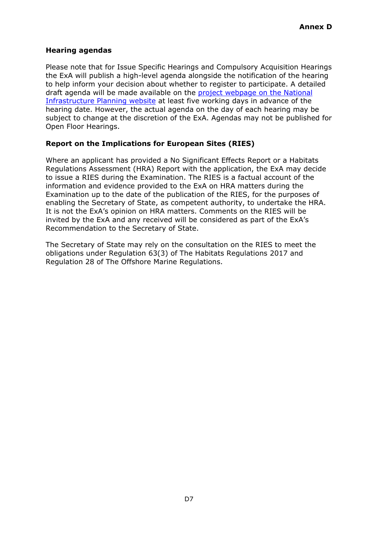#### **Hearing agendas**

Please note that for Issue Specific Hearings and Compulsory Acquisition Hearings the ExA will publish a high-level agenda alongside the notification of the hearing to help inform your decision about whether to register to participate. A detailed draft agenda will be made available on the [project webpage on the National](https://infrastructure.planninginspectorate.gov.uk/projects/yorkshire-and-the-humber/hornsea-project-four-offshore-wind-farm/)  [Infrastructure Planning website](https://infrastructure.planninginspectorate.gov.uk/projects/yorkshire-and-the-humber/hornsea-project-four-offshore-wind-farm/) at least five working days in advance of the hearing date. However, the actual agenda on the day of each hearing may be subject to change at the discretion of the ExA. Agendas may not be published for Open Floor Hearings.

# **Report on the Implications for European Sites (RIES)**

Where an applicant has provided a No Significant Effects Report or a Habitats Regulations Assessment (HRA) Report with the application, the ExA may decide to issue a RIES during the Examination. The RIES is a factual account of the information and evidence provided to the ExA on HRA matters during the Examination up to the date of the publication of the RIES, for the purposes of enabling the Secretary of State, as competent authority, to undertake the HRA. It is not the ExA's opinion on HRA matters. Comments on the RIES will be invited by the ExA and any received will be considered as part of the ExA's Recommendation to the Secretary of State.

The Secretary of State may rely on the consultation on the RIES to meet the obligations under Regulation 63(3) of The Habitats Regulations 2017 and Regulation 28 of The Offshore Marine Regulations.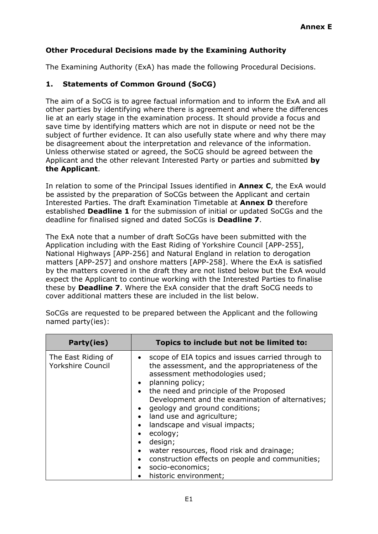# **Other Procedural Decisions made by the Examining Authority**

The Examining Authority (ExA) has made the following Procedural Decisions.

# **1. Statements of Common Ground (SoCG)**

The aim of a SoCG is to agree factual information and to inform the ExA and all other parties by identifying where there is agreement and where the differences lie at an early stage in the examination process. It should provide a focus and save time by identifying matters which are not in dispute or need not be the subject of further evidence. It can also usefully state where and why there may be disagreement about the interpretation and relevance of the information. Unless otherwise stated or agreed, the SoCG should be agreed between the Applicant and the other relevant Interested Party or parties and submitted **by the Applicant**.

In relation to some of the Principal Issues identified in **Annex C**, the ExA would be assisted by the preparation of SoCGs between the Applicant and certain Interested Parties. The draft Examination Timetable at **Annex D** therefore established **Deadline 1** for the submission of initial or updated SoCGs and the deadline for finalised signed and dated SoCGs is **Deadline 7**.

The ExA note that a number of draft SoCGs have been submitted with the Application including with the East Riding of Yorkshire Council [APP-255], National Highways [APP-256] and Natural England in relation to derogation matters [APP-257] and onshore matters [APP-258]. Where the ExA is satisfied by the matters covered in the draft they are not listed below but the ExA would expect the Applicant to continue working with the Interested Parties to finalise these by **Deadline 7**. Where the ExA consider that the draft SoCG needs to cover additional matters these are included in the list below.

| Party(ies)                                     | Topics to include but not be limited to:                                                                                                                                                                                                                                                                                                                                                                                                                                                                                                                                                         |
|------------------------------------------------|--------------------------------------------------------------------------------------------------------------------------------------------------------------------------------------------------------------------------------------------------------------------------------------------------------------------------------------------------------------------------------------------------------------------------------------------------------------------------------------------------------------------------------------------------------------------------------------------------|
| The East Riding of<br><b>Yorkshire Council</b> | scope of EIA topics and issues carried through to<br>the assessment, and the appropriateness of the<br>assessment methodologies used;<br>• planning policy;<br>• the need and principle of the Proposed<br>Development and the examination of alternatives;<br>geology and ground conditions;<br>$\bullet$<br>land use and agriculture;<br>$\bullet$<br>landscape and visual impacts;<br>ecology;<br>design;<br>water resources, flood risk and drainage;<br>$\bullet$<br>construction effects on people and communities;<br>$\bullet$<br>socio-economics;<br>$\bullet$<br>historic environment; |

SoCGs are requested to be prepared between the Applicant and the following named party(ies):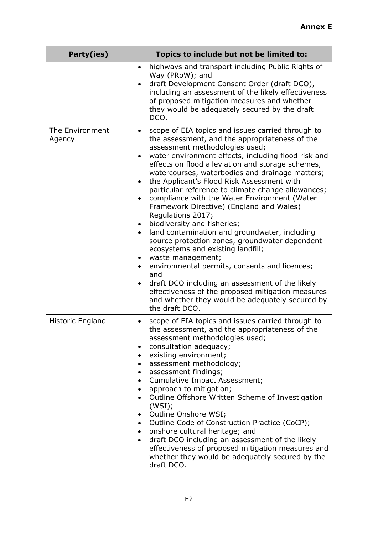| Party(ies)                | Topics to include but not be limited to:                                                                                                                                                                                                                                                                                                                                                                                                                                                                                                                                                                                                                                                                                                                                                                                                                                                                                                                                                                                                              |
|---------------------------|-------------------------------------------------------------------------------------------------------------------------------------------------------------------------------------------------------------------------------------------------------------------------------------------------------------------------------------------------------------------------------------------------------------------------------------------------------------------------------------------------------------------------------------------------------------------------------------------------------------------------------------------------------------------------------------------------------------------------------------------------------------------------------------------------------------------------------------------------------------------------------------------------------------------------------------------------------------------------------------------------------------------------------------------------------|
|                           | highways and transport including Public Rights of<br>٠<br>Way (PRoW); and<br>draft Development Consent Order (draft DCO),<br>$\bullet$<br>including an assessment of the likely effectiveness<br>of proposed mitigation measures and whether<br>they would be adequately secured by the draft<br>DCO.                                                                                                                                                                                                                                                                                                                                                                                                                                                                                                                                                                                                                                                                                                                                                 |
| The Environment<br>Agency | scope of EIA topics and issues carried through to<br>$\bullet$<br>the assessment, and the appropriateness of the<br>assessment methodologies used;<br>water environment effects, including flood risk and<br>$\bullet$<br>effects on flood alleviation and storage schemes,<br>watercourses, waterbodies and drainage matters;<br>the Applicant's Flood Risk Assessment with<br>$\bullet$<br>particular reference to climate change allowances;<br>compliance with the Water Environment (Water<br>$\bullet$<br>Framework Directive) (England and Wales)<br>Regulations 2017;<br>biodiversity and fisheries;<br>land contamination and groundwater, including<br>$\bullet$<br>source protection zones, groundwater dependent<br>ecosystems and existing landfill;<br>waste management;<br>environmental permits, consents and licences;<br>$\bullet$<br>and<br>draft DCO including an assessment of the likely<br>$\bullet$<br>effectiveness of the proposed mitigation measures<br>and whether they would be adequately secured by<br>the draft DCO. |
| Historic England          | scope of EIA topics and issues carried through to<br>the assessment, and the appropriateness of the<br>assessment methodologies used;<br>consultation adequacy;<br>existing environment;<br>assessment methodology;<br>assessment findings;<br>Cumulative Impact Assessment;<br>approach to mitigation;<br>Outline Offshore Written Scheme of Investigation<br>(WSI);<br>Outline Onshore WSI;<br>Outline Code of Construction Practice (CoCP);<br>$\bullet$<br>• onshore cultural heritage; and<br>draft DCO including an assessment of the likely<br>$\bullet$<br>effectiveness of proposed mitigation measures and<br>whether they would be adequately secured by the<br>draft DCO.                                                                                                                                                                                                                                                                                                                                                                 |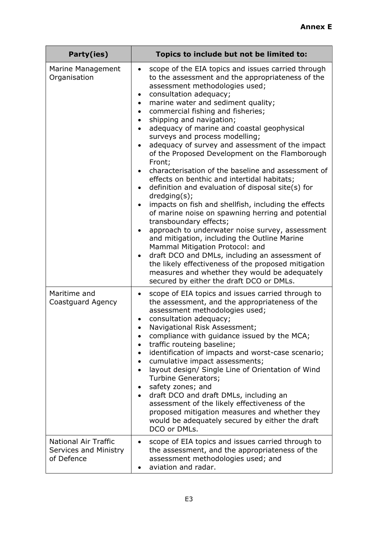| Party(ies)                                                         | Topics to include but not be limited to:                                                                                                                                                                                                                                                                                                                                                                                                                                                                                                                                                                                                                                                                                                                                                                                                                                                                                                                                                                                                                                                                                                                                                                                                |
|--------------------------------------------------------------------|-----------------------------------------------------------------------------------------------------------------------------------------------------------------------------------------------------------------------------------------------------------------------------------------------------------------------------------------------------------------------------------------------------------------------------------------------------------------------------------------------------------------------------------------------------------------------------------------------------------------------------------------------------------------------------------------------------------------------------------------------------------------------------------------------------------------------------------------------------------------------------------------------------------------------------------------------------------------------------------------------------------------------------------------------------------------------------------------------------------------------------------------------------------------------------------------------------------------------------------------|
| Marine Management<br>Organisation                                  | scope of the EIA topics and issues carried through<br>$\bullet$<br>to the assessment and the appropriateness of the<br>assessment methodologies used;<br>consultation adequacy;<br>$\bullet$<br>marine water and sediment quality;<br>$\bullet$<br>commercial fishing and fisheries;<br>shipping and navigation;<br>adequacy of marine and coastal geophysical<br>surveys and process modelling;<br>adequacy of survey and assessment of the impact<br>$\bullet$<br>of the Proposed Development on the Flamborough<br>Front;<br>characterisation of the baseline and assessment of<br>effects on benthic and intertidal habitats;<br>definition and evaluation of disposal site(s) for<br>$d$ redging $(s)$ ;<br>impacts on fish and shellfish, including the effects<br>$\bullet$<br>of marine noise on spawning herring and potential<br>transboundary effects;<br>approach to underwater noise survey, assessment<br>$\bullet$<br>and mitigation, including the Outline Marine<br>Mammal Mitigation Protocol: and<br>draft DCO and DMLs, including an assessment of<br>$\bullet$<br>the likely effectiveness of the proposed mitigation<br>measures and whether they would be adequately<br>secured by either the draft DCO or DMLs. |
| Maritime and<br>Coastguard Agency                                  | scope of EIA topics and issues carried through to<br>$\bullet$<br>the assessment, and the appropriateness of the<br>assessment methodologies used;<br>consultation adequacy;<br>Navigational Risk Assessment;<br>compliance with guidance issued by the MCA;<br>traffic routeing baseline;<br>identification of impacts and worst-case scenario;<br>cumulative impact assessments;<br>$\bullet$<br>layout design/ Single Line of Orientation of Wind<br>$\bullet$<br>Turbine Generators;<br>safety zones; and<br>$\bullet$<br>draft DCO and draft DMLs, including an<br>$\bullet$<br>assessment of the likely effectiveness of the<br>proposed mitigation measures and whether they<br>would be adequately secured by either the draft<br>DCO or DMLs.                                                                                                                                                                                                                                                                                                                                                                                                                                                                                  |
| <b>National Air Traffic</b><br>Services and Ministry<br>of Defence | scope of EIA topics and issues carried through to<br>$\bullet$<br>the assessment, and the appropriateness of the<br>assessment methodologies used; and<br>aviation and radar.                                                                                                                                                                                                                                                                                                                                                                                                                                                                                                                                                                                                                                                                                                                                                                                                                                                                                                                                                                                                                                                           |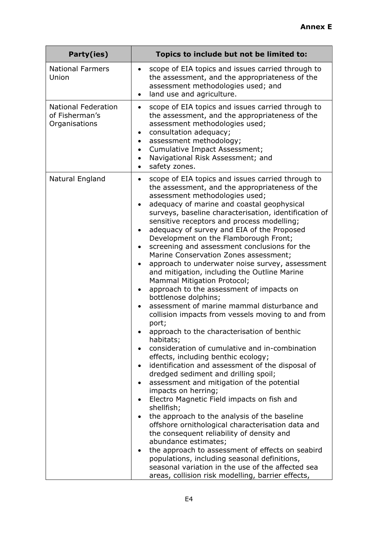| Party(ies)                                                    | Topics to include but not be limited to:                                                                                                                                                                                                                                                                                                                                                                                                                                                                                                                                                                                                                                                                                                                                                                                                                                                                                                                                                                                                                                                                                                                                                                                                                                                                                                                                                                                                                                                                                                                                                                                                                   |
|---------------------------------------------------------------|------------------------------------------------------------------------------------------------------------------------------------------------------------------------------------------------------------------------------------------------------------------------------------------------------------------------------------------------------------------------------------------------------------------------------------------------------------------------------------------------------------------------------------------------------------------------------------------------------------------------------------------------------------------------------------------------------------------------------------------------------------------------------------------------------------------------------------------------------------------------------------------------------------------------------------------------------------------------------------------------------------------------------------------------------------------------------------------------------------------------------------------------------------------------------------------------------------------------------------------------------------------------------------------------------------------------------------------------------------------------------------------------------------------------------------------------------------------------------------------------------------------------------------------------------------------------------------------------------------------------------------------------------------|
| <b>National Farmers</b><br>Union                              | scope of EIA topics and issues carried through to<br>$\bullet$<br>the assessment, and the appropriateness of the<br>assessment methodologies used; and<br>land use and agriculture.<br>$\bullet$                                                                                                                                                                                                                                                                                                                                                                                                                                                                                                                                                                                                                                                                                                                                                                                                                                                                                                                                                                                                                                                                                                                                                                                                                                                                                                                                                                                                                                                           |
| <b>National Federation</b><br>of Fisherman's<br>Organisations | scope of EIA topics and issues carried through to<br>$\bullet$<br>the assessment, and the appropriateness of the<br>assessment methodologies used;<br>consultation adequacy;<br>assessment methodology;<br>Cumulative Impact Assessment;<br>Navigational Risk Assessment; and<br>safety zones.<br>$\bullet$                                                                                                                                                                                                                                                                                                                                                                                                                                                                                                                                                                                                                                                                                                                                                                                                                                                                                                                                                                                                                                                                                                                                                                                                                                                                                                                                                |
| Natural England                                               | scope of EIA topics and issues carried through to<br>٠<br>the assessment, and the appropriateness of the<br>assessment methodologies used;<br>adequacy of marine and coastal geophysical<br>surveys, baseline characterisation, identification of<br>sensitive receptors and process modelling;<br>adequacy of survey and EIA of the Proposed<br>$\bullet$<br>Development on the Flamborough Front;<br>screening and assessment conclusions for the<br>$\bullet$<br>Marine Conservation Zones assessment;<br>approach to underwater noise survey, assessment<br>and mitigation, including the Outline Marine<br>Mammal Mitigation Protocol;<br>approach to the assessment of impacts on<br>$\bullet$<br>bottlenose dolphins;<br>assessment of marine mammal disturbance and<br>collision impacts from vessels moving to and from<br>port;<br>approach to the characterisation of benthic<br>habitats;<br>consideration of cumulative and in-combination<br>effects, including benthic ecology;<br>identification and assessment of the disposal of<br>$\bullet$<br>dredged sediment and drilling spoil;<br>assessment and mitigation of the potential<br>impacts on herring;<br>Electro Magnetic Field impacts on fish and<br>$\bullet$<br>shellfish;<br>the approach to the analysis of the baseline<br>$\bullet$<br>offshore ornithological characterisation data and<br>the consequent reliability of density and<br>abundance estimates;<br>the approach to assessment of effects on seabird<br>populations, including seasonal definitions,<br>seasonal variation in the use of the affected sea<br>areas, collision risk modelling, barrier effects, |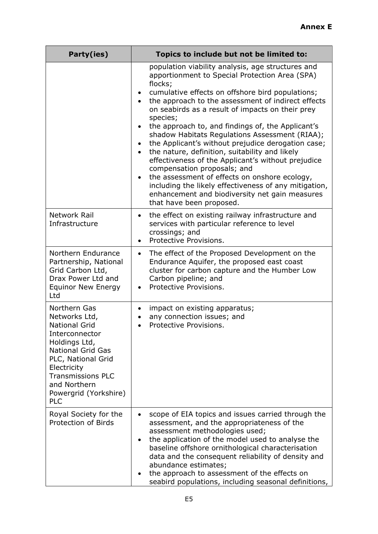| Party(ies)                                                                                                                                                                                                                                   | Topics to include but not be limited to:                                                                                                                                                                                                                                                                                                                                                                                                                                                                                                                                                                                                                                                                                                                                                          |  |  |
|----------------------------------------------------------------------------------------------------------------------------------------------------------------------------------------------------------------------------------------------|---------------------------------------------------------------------------------------------------------------------------------------------------------------------------------------------------------------------------------------------------------------------------------------------------------------------------------------------------------------------------------------------------------------------------------------------------------------------------------------------------------------------------------------------------------------------------------------------------------------------------------------------------------------------------------------------------------------------------------------------------------------------------------------------------|--|--|
|                                                                                                                                                                                                                                              | population viability analysis, age structures and<br>apportionment to Special Protection Area (SPA)<br>flocks;<br>cumulative effects on offshore bird populations;<br>the approach to the assessment of indirect effects<br>on seabirds as a result of impacts on their prey<br>species;<br>the approach to, and findings of, the Applicant's<br>shadow Habitats Regulations Assessment (RIAA);<br>the Applicant's without prejudice derogation case;<br>$\bullet$<br>the nature, definition, suitability and likely<br>effectiveness of the Applicant's without prejudice<br>compensation proposals; and<br>the assessment of effects on onshore ecology,<br>including the likely effectiveness of any mitigation,<br>enhancement and biodiversity net gain measures<br>that have been proposed. |  |  |
| Network Rail<br>Infrastructure                                                                                                                                                                                                               | the effect on existing railway infrastructure and<br>$\bullet$<br>services with particular reference to level<br>crossings; and<br>Protective Provisions.<br>$\bullet$                                                                                                                                                                                                                                                                                                                                                                                                                                                                                                                                                                                                                            |  |  |
| Northern Endurance<br>Partnership, National<br>Grid Carbon Ltd,<br>Drax Power Ltd and<br><b>Equinor New Energy</b><br>Ltd                                                                                                                    | The effect of the Proposed Development on the<br>$\bullet$<br>Endurance Aquifer, the proposed east coast<br>cluster for carbon capture and the Humber Low<br>Carbon pipeline; and<br>Protective Provisions.                                                                                                                                                                                                                                                                                                                                                                                                                                                                                                                                                                                       |  |  |
| Northern Gas<br>Networks Ltd,<br><b>National Grid</b><br>Interconnector<br>Holdings Ltd,<br><b>National Grid Gas</b><br>PLC, National Grid<br>Electricity<br><b>Transmissions PLC</b><br>and Northern<br>Powergrid (Yorkshire)<br><b>PLC</b> | impact on existing apparatus;<br>٠<br>any connection issues; and<br>Protective Provisions.                                                                                                                                                                                                                                                                                                                                                                                                                                                                                                                                                                                                                                                                                                        |  |  |
| Royal Society for the<br>Protection of Birds                                                                                                                                                                                                 | scope of EIA topics and issues carried through the<br>$\bullet$<br>assessment, and the appropriateness of the<br>assessment methodologies used;<br>the application of the model used to analyse the<br>$\bullet$<br>baseline offshore ornithological characterisation<br>data and the consequent reliability of density and<br>abundance estimates;<br>the approach to assessment of the effects on<br>seabird populations, including seasonal definitions,                                                                                                                                                                                                                                                                                                                                       |  |  |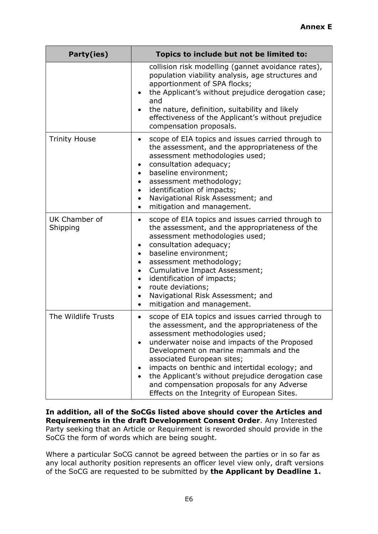| Party(ies)                | Topics to include but not be limited to:                                                                                                                                                                                                                                                                                                                                                                                                                                      |
|---------------------------|-------------------------------------------------------------------------------------------------------------------------------------------------------------------------------------------------------------------------------------------------------------------------------------------------------------------------------------------------------------------------------------------------------------------------------------------------------------------------------|
|                           | collision risk modelling (gannet avoidance rates),<br>population viability analysis, age structures and<br>apportionment of SPA flocks;<br>the Applicant's without prejudice derogation case;<br>and<br>the nature, definition, suitability and likely<br>effectiveness of the Applicant's without prejudice<br>compensation proposals.                                                                                                                                       |
| <b>Trinity House</b>      | scope of EIA topics and issues carried through to<br>٠<br>the assessment, and the appropriateness of the<br>assessment methodologies used;<br>consultation adequacy;<br>baseline environment;<br>assessment methodology;<br>identification of impacts;<br>Navigational Risk Assessment; and<br>$\bullet$<br>mitigation and management.<br>$\bullet$                                                                                                                           |
| UK Chamber of<br>Shipping | scope of EIA topics and issues carried through to<br>$\bullet$<br>the assessment, and the appropriateness of the<br>assessment methodologies used;<br>consultation adequacy;<br>baseline environment;<br>assessment methodology;<br>Cumulative Impact Assessment;<br>identification of impacts;<br>route deviations;<br>Navigational Risk Assessment; and<br>mitigation and management.<br>$\bullet$                                                                          |
| The Wildlife Trusts       | scope of EIA topics and issues carried through to<br>$\bullet$<br>the assessment, and the appropriateness of the<br>assessment methodologies used;<br>underwater noise and impacts of the Proposed<br>Development on marine mammals and the<br>associated European sites;<br>impacts on benthic and intertidal ecology; and<br>the Applicant's without prejudice derogation case<br>and compensation proposals for any Adverse<br>Effects on the Integrity of European Sites. |

**In addition, all of the SoCGs listed above should cover the Articles and Requirements in the draft Development Consent Order**. Any Interested Party seeking that an Article or Requirement is reworded should provide in the SoCG the form of words which are being sought.

Where a particular SoCG cannot be agreed between the parties or in so far as any local authority position represents an officer level view only, draft versions of the SoCG are requested to be submitted by **the Applicant by Deadline 1.**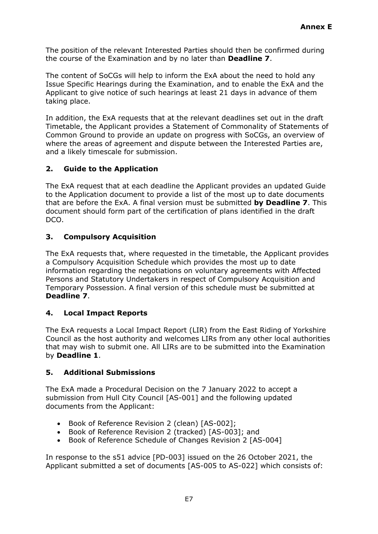The position of the relevant Interested Parties should then be confirmed during the course of the Examination and by no later than **Deadline 7**.

The content of SoCGs will help to inform the ExA about the need to hold any Issue Specific Hearings during the Examination, and to enable the ExA and the Applicant to give notice of such hearings at least 21 days in advance of them taking place.

In addition, the ExA requests that at the relevant deadlines set out in the draft Timetable, the Applicant provides a Statement of Commonality of Statements of Common Ground to provide an update on progress with SoCGs, an overview of where the areas of agreement and dispute between the Interested Parties are, and a likely timescale for submission.

# **2. Guide to the Application**

The ExA request that at each deadline the Applicant provides an updated Guide to the Application document to provide a list of the most up to date documents that are before the ExA. A final version must be submitted **by Deadline 7**. This document should form part of the certification of plans identified in the draft DCO.

# **3. Compulsory Acquisition**

The ExA requests that, where requested in the timetable, the Applicant provides a Compulsory Acquisition Schedule which provides the most up to date information regarding the negotiations on voluntary agreements with Affected Persons and Statutory Undertakers in respect of Compulsory Acquisition and Temporary Possession. A final version of this schedule must be submitted at **Deadline 7**.

# **4. Local Impact Reports**

The ExA requests a Local Impact Report (LIR) from the East Riding of Yorkshire Council as the host authority and welcomes LIRs from any other local authorities that may wish to submit one. All LIRs are to be submitted into the Examination by **Deadline 1**.

# **5. Additional Submissions**

The ExA made a Procedural Decision on the 7 January 2022 to accept a submission from Hull City Council [AS-001] and the following updated documents from the Applicant:

- Book of Reference Revision 2 (clean) [AS-002];
- Book of Reference Revision 2 (tracked) [AS-003]; and
- Book of Reference Schedule of Changes Revision 2 [AS-004]

In response to the s51 advice [PD-003] issued on the 26 October 2021, the Applicant submitted a set of documents [AS-005 to AS-022] which consists of: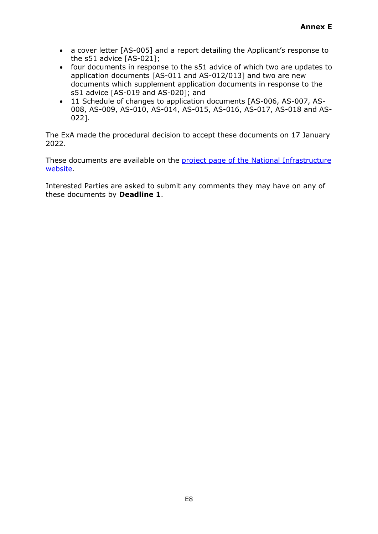- a cover letter [AS-005] and a report detailing the Applicant's response to the s51 advice [AS-021];
- four documents in response to the s51 advice of which two are updates to application documents [AS-011 and AS-012/013] and two are new documents which supplement application documents in response to the s51 advice [AS-019 and AS-020]; and
- 11 Schedule of changes to application documents [AS-006, AS-007, AS-008, AS-009, AS-010, AS-014, AS-015, AS-016, AS-017, AS-018 and AS-022].

The ExA made the procedural decision to accept these documents on 17 January 2022.

These documents are available on the project page of the National Infrastructure [website.](https://infrastructure.planninginspectorate.gov.uk/projects/yorkshire-and-the-humber/hornsea-project-four-offshore-wind-farm/)

Interested Parties are asked to submit any comments they may have on any of these documents by **Deadline 1**.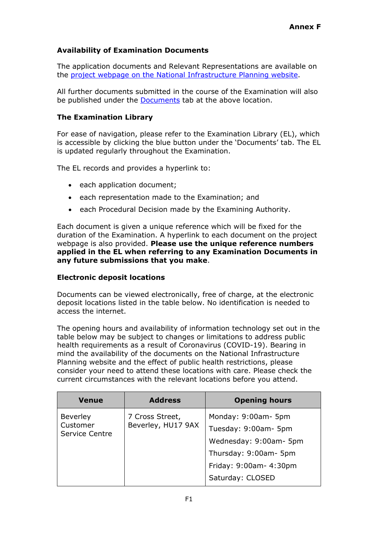# **Availability of Examination Documents**

The application documents and Relevant Representations are available on the [project webpage on the National Infrastructure Planning website.](https://infrastructure.planninginspectorate.gov.uk/projects/yorkshire-and-the-humber/hornsea-project-four-offshore-wind-farm/)

All further documents submitted in the course of the Examination will also be published under the **Documents** tab at the above location.

#### **The Examination Library**

For ease of navigation, please refer to the Examination Library (EL), which is accessible by clicking the blue button under the 'Documents' tab. The EL is updated regularly throughout the Examination.

The EL records and provides a hyperlink to:

- each application document;
- each representation made to the Examination; and
- each Procedural Decision made by the Examining Authority.

Each document is given a unique reference which will be fixed for the duration of the Examination. A hyperlink to each document on the project webpage is also provided. **Please use the unique reference numbers applied in the EL when referring to any Examination Documents in any future submissions that you make**.

#### **Electronic deposit locations**

Documents can be viewed electronically, free of charge, at the electronic deposit locations listed in the table below. No identification is needed to access the internet.

The opening hours and availability of information technology set out in the table below may be subject to changes or limitations to address public health requirements as a result of Coronavirus (COVID-19). Bearing in mind the availability of the documents on the National Infrastructure Planning website and the effect of public health restrictions, please consider your need to attend these locations with care. Please check the current circumstances with the relevant locations before you attend.

| <b>Venue</b>               | <b>Address</b>     | <b>Opening hours</b>   |
|----------------------------|--------------------|------------------------|
| <b>Beverley</b>            | 7 Cross Street,    | Monday: 9:00am- 5pm    |
| Customer<br>Service Centre | Beverley, HU17 9AX | Tuesday: 9:00am- 5pm   |
|                            |                    | Wednesday: 9:00am- 5pm |
|                            |                    | Thursday: 9:00am- 5pm  |
|                            |                    | Friday: 9:00am- 4:30pm |
|                            |                    | Saturday: CLOSED       |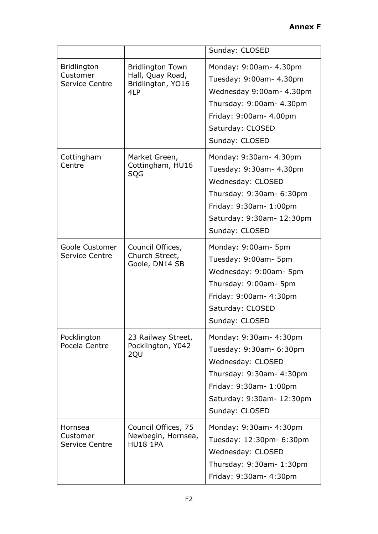|                                                  |                                                                         | Sunday: CLOSED                                                                                                                                                              |
|--------------------------------------------------|-------------------------------------------------------------------------|-----------------------------------------------------------------------------------------------------------------------------------------------------------------------------|
| <b>Bridlington</b><br>Customer<br>Service Centre | <b>Bridlington Town</b><br>Hall, Quay Road,<br>Bridlington, YO16<br>4LP | Monday: 9:00am- 4.30pm<br>Tuesday: 9:00am- 4.30pm<br>Wednesday 9:00am- 4.30pm<br>Thursday: 9:00am- 4.30pm<br>Friday: 9:00am- 4.00pm<br>Saturday: CLOSED<br>Sunday: CLOSED   |
| Cottingham<br>Centre                             | Market Green,<br>Cottingham, HU16<br>SQG                                | Monday: 9:30am- 4.30pm<br>Tuesday: 9:30am- 4.30pm<br>Wednesday: CLOSED<br>Thursday: 9:30am- 6:30pm<br>Friday: 9:30am- 1:00pm<br>Saturday: 9:30am- 12:30pm<br>Sunday: CLOSED |
| Goole Customer<br><b>Service Centre</b>          | Council Offices,<br>Church Street,<br>Goole, DN14 SB                    | Monday: 9:00am- 5pm<br>Tuesday: 9:00am- 5pm<br>Wednesday: 9:00am- 5pm<br>Thursday: 9:00am- 5pm<br>Friday: 9:00am- 4:30pm<br>Saturday: CLOSED<br>Sunday: CLOSED              |
| Pocklington<br>Pocela Centre                     | 23 Railway Street,<br>Pocklington, Y042<br>2QU                          | Monday: 9:30am- 4:30pm<br>Tuesday: 9:30am- 6:30pm<br>Wednesday: CLOSED<br>Thursday: 9:30am- 4:30pm<br>Friday: 9:30am- 1:00pm<br>Saturday: 9:30am- 12:30pm<br>Sunday: CLOSED |
| Hornsea<br>Customer<br><b>Service Centre</b>     | Council Offices, 75<br>Newbegin, Hornsea,<br><b>HU18 1PA</b>            | Monday: 9:30am- 4:30pm<br>Tuesday: 12:30pm- 6:30pm<br>Wednesday: CLOSED<br>Thursday: 9:30am- 1:30pm<br>Friday: 9:30am- 4:30pm                                               |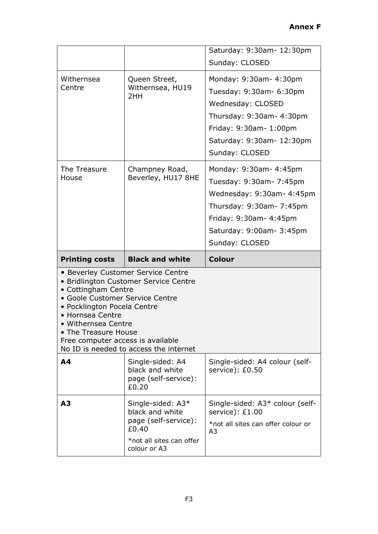|                                                                                                                                                                                               |                                                                                                                       | Saturday: 9:30am- 12:30pm<br>Sunday: CLOSED                                                                                                                                        |
|-----------------------------------------------------------------------------------------------------------------------------------------------------------------------------------------------|-----------------------------------------------------------------------------------------------------------------------|------------------------------------------------------------------------------------------------------------------------------------------------------------------------------------|
| Withernsea<br>Centre                                                                                                                                                                          | Queen Street,<br>Withernsea, HU19<br>2HH                                                                              | Monday: 9:30am- 4:30pm<br>Tuesday: 9:30am- 6:30pm<br>Wednesday: CLOSED<br>Thursday: 9:30am- 4:30pm<br>Friday: 9:30am- 1:00pm<br>Saturday: 9:30am- 12:30pm<br>Sunday: CLOSED        |
| The Treasure<br>House                                                                                                                                                                         | Champney Road,<br>Beverley, HU17 8HE                                                                                  | Monday: 9:30am- 4:45pm<br>Tuesday: 9:30am- 7:45pm<br>Wednesday: 9:30am- 4:45pm<br>Thursday: 9:30am- 7:45pm<br>Friday: 9:30am- 4:45pm<br>Saturday: 9:00am- 3:45pm<br>Sunday: CLOSED |
|                                                                                                                                                                                               |                                                                                                                       |                                                                                                                                                                                    |
| <b>Printing costs</b>                                                                                                                                                                         | <b>Black and white</b>                                                                                                | <b>Colour</b>                                                                                                                                                                      |
| • Cottingham Centre<br>• Goole Customer Service Centre<br>· Pocklington Pocela Centre<br>• Hornsea Centre<br>• Withernsea Centre<br>• The Treasure House<br>Free computer access is available | • Beverley Customer Service Centre<br>· Bridlington Customer Service Centre<br>No ID is needed to access the internet |                                                                                                                                                                                    |
| A <sub>4</sub>                                                                                                                                                                                | Single-sided: A4<br>black and white<br>page (self-service):<br>£0.20                                                  | Single-sided: A4 colour (self-<br>service): £0.50                                                                                                                                  |